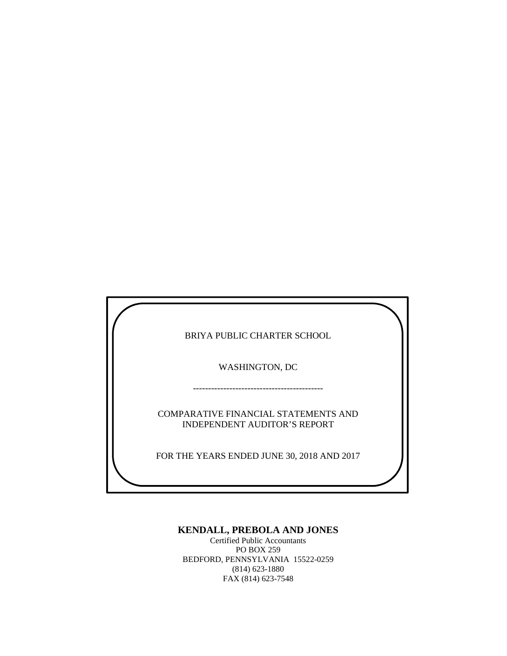BRIYA PUBLIC CHARTER SCHOOL

WASHINGTON, DC

COMPARATIVE FINANCIAL STATEMENTS AND

INDEPENDENT AUDITOR'S REPORT

-------------------------------------------

FOR THE YEARS ENDED JUNE 30, 2018 AND 2017

# **KENDALL, PREBOLA AND JONES**

Certified Public Accountants PO BOX 259 BEDFORD, PENNSYLVANIA 15522-0259 (814) 623-1880 FAX (814) 623-7548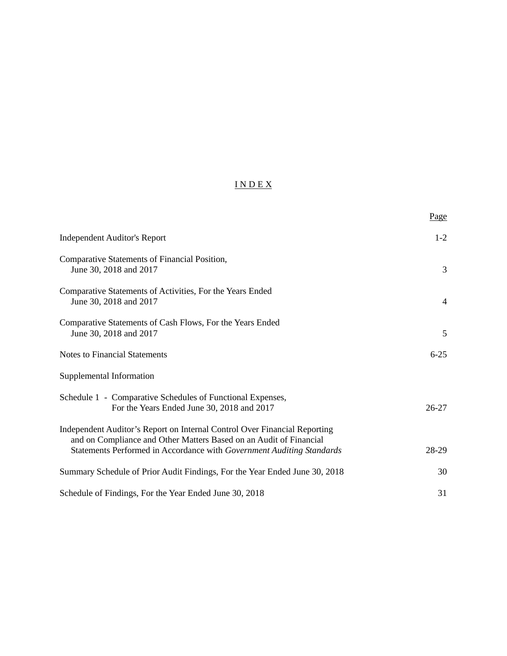# I N D E X

|                                                                                                                                                                                                                          | Page           |
|--------------------------------------------------------------------------------------------------------------------------------------------------------------------------------------------------------------------------|----------------|
| <b>Independent Auditor's Report</b>                                                                                                                                                                                      | $1-2$          |
| Comparative Statements of Financial Position,<br>June 30, 2018 and 2017                                                                                                                                                  | 3              |
| Comparative Statements of Activities, For the Years Ended<br>June 30, 2018 and 2017                                                                                                                                      | $\overline{4}$ |
| Comparative Statements of Cash Flows, For the Years Ended<br>June 30, 2018 and 2017                                                                                                                                      | 5              |
| <b>Notes to Financial Statements</b>                                                                                                                                                                                     | $6 - 25$       |
| Supplemental Information                                                                                                                                                                                                 |                |
| Schedule 1 - Comparative Schedules of Functional Expenses,<br>For the Years Ended June 30, 2018 and 2017                                                                                                                 | 26-27          |
| Independent Auditor's Report on Internal Control Over Financial Reporting<br>and on Compliance and Other Matters Based on an Audit of Financial<br>Statements Performed in Accordance with Government Auditing Standards | 28-29          |
| Summary Schedule of Prior Audit Findings, For the Year Ended June 30, 2018                                                                                                                                               | 30             |
| Schedule of Findings, For the Year Ended June 30, 2018                                                                                                                                                                   | 31             |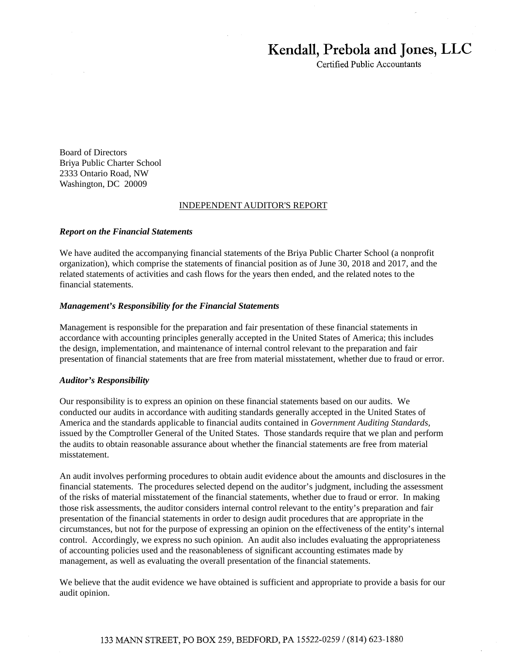# **Kendall, Prebola and Jones, LLC**

Certified Public Accountants

Board of Directors Briya Public Charter School 2333 Ontario Road, NW Washington, DC 20009

#### INDEPENDENT AUDITOR'S REPORT

#### *Report on the Financial Statements*

We have audited the accompanying financial statements of the Briya Public Charter School (a nonprofit organization), which comprise the statements of financial position as of June 30, 2018 and 2017, and the related statements of activities and cash flows for the years then ended, and the related notes to the financial statements.

#### *Management's Responsibility for the Financial Statements*

Management is responsible for the preparation and fair presentation of these financial statements in accordance with accounting principles generally accepted in the United States of America; this includes the design, implementation, and maintenance of internal control relevant to the preparation and fair presentation of financial statements that are free from material misstatement, whether due to fraud or error.

#### *Auditor's Responsibility*

Our responsibility is to express an opinion on these financial statements based on our audits. We conducted our audits in accordance with auditing standards generally accepted in the United States of America and the standards applicable to financial audits contained in *Government Auditing Standards*, issued by the Comptroller General of the United States. Those standards require that we plan and perform the audits to obtain reasonable assurance about whether the financial statements are free from material misstatement.

An audit involves performing procedures to obtain audit evidence about the amounts and disclosures in the financial statements. The procedures selected depend on the auditor's judgment, including the assessment of the risks of material misstatement of the financial statements, whether due to fraud or error. In making those risk assessments, the auditor considers internal control relevant to the entity's preparation and fair presentation of the financial statements in order to design audit procedures that are appropriate in the circumstances, but not for the purpose of expressing an opinion on the effectiveness of the entity's internal control. Accordingly, we express no such opinion. An audit also includes evaluating the appropriateness of accounting policies used and the reasonableness of significant accounting estimates made by management, as well as evaluating the overall presentation of the financial statements.

We believe that the audit evidence we have obtained is sufficient and appropriate to provide a basis for our audit opinion.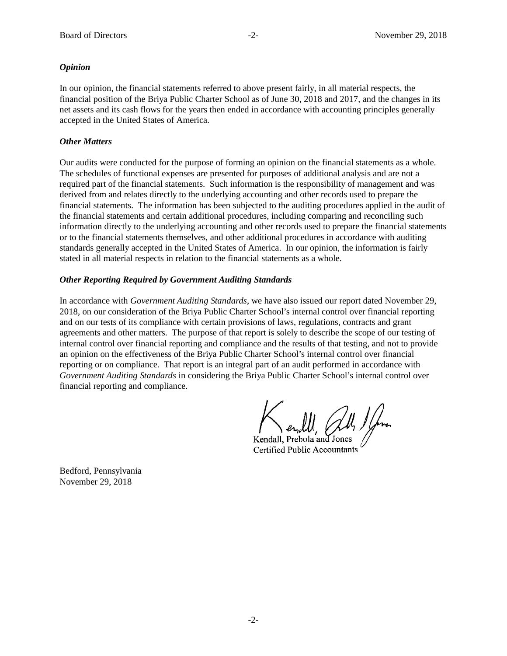### *Opinion*

In our opinion, the financial statements referred to above present fairly, in all material respects, the financial position of the Briya Public Charter School as of June 30, 2018 and 2017, and the changes in its net assets and its cash flows for the years then ended in accordance with accounting principles generally accepted in the United States of America.

### *Other Matters*

Our audits were conducted for the purpose of forming an opinion on the financial statements as a whole. The schedules of functional expenses are presented for purposes of additional analysis and are not a required part of the financial statements. Such information is the responsibility of management and was derived from and relates directly to the underlying accounting and other records used to prepare the financial statements. The information has been subjected to the auditing procedures applied in the audit of the financial statements and certain additional procedures, including comparing and reconciling such information directly to the underlying accounting and other records used to prepare the financial statements or to the financial statements themselves, and other additional procedures in accordance with auditing standards generally accepted in the United States of America. In our opinion, the information is fairly stated in all material respects in relation to the financial statements as a whole.

### *Other Reporting Required by Government Auditing Standards*

In accordance with *Government Auditing Standards*, we have also issued our report dated November 29, 2018, on our consideration of the Briya Public Charter School's internal control over financial reporting and on our tests of its compliance with certain provisions of laws, regulations, contracts and grant agreements and other matters. The purpose of that report is solely to describe the scope of our testing of internal control over financial reporting and compliance and the results of that testing, and not to provide an opinion on the effectiveness of the Briya Public Charter School's internal control over financial reporting or on compliance. That report is an integral part of an audit performed in accordance with *Government Auditing Standards* in considering the Briya Public Charter School's internal control over financial reporting and compliance.

Kendall, Prebola and Jones Kendall, Prebola and Jones Certified Public Accountants Certified Public Accountants

Bedford, Pennsylvania November 29, 2018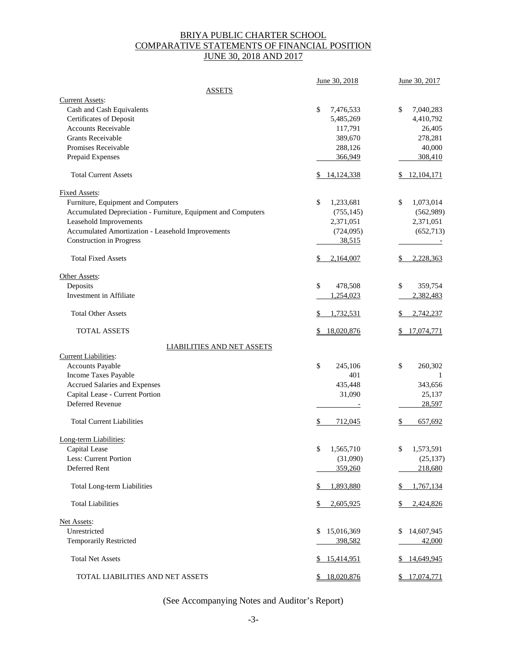### BRIYA PUBLIC CHARTER SCHOOL COMPARATIVE STATEMENTS OF FINANCIAL POSITION JUNE 30, 2018 AND 2017

|                                                               | June 30, 2018    | June 30, 2017     |
|---------------------------------------------------------------|------------------|-------------------|
| <b>ASSETS</b>                                                 |                  |                   |
| <b>Current Assets:</b>                                        |                  |                   |
| Cash and Cash Equivalents                                     | \$<br>7,476,533  | \$<br>7,040,283   |
| Certificates of Deposit                                       | 5,485,269        | 4,410,792         |
| <b>Accounts Receivable</b>                                    | 117,791          | 26,405            |
| <b>Grants Receivable</b>                                      | 389,670          | 278,281           |
| Promises Receivable                                           | 288,126          | 40,000            |
| Prepaid Expenses                                              | 366,949          | 308,410           |
| <b>Total Current Assets</b>                                   | 14,124,338<br>\$ | 12,104,171<br>\$. |
| <b>Fixed Assets:</b>                                          |                  |                   |
| Furniture, Equipment and Computers                            | \$<br>1,233,681  | \$<br>1,073,014   |
| Accumulated Depreciation - Furniture, Equipment and Computers | (755, 145)       | (562, 989)        |
| Leasehold Improvements                                        | 2,371,051        | 2,371,051         |
| Accumulated Amortization - Leasehold Improvements             | (724,095)        | (652, 713)        |
| <b>Construction</b> in Progress                               | 38,515           |                   |
| <b>Total Fixed Assets</b>                                     | 2,164,007<br>\$  | 2,228,363<br>\$   |
| Other Assets:                                                 |                  |                   |
| Deposits                                                      | \$<br>478,508    | \$<br>359,754     |
| Investment in Affiliate                                       | 1,254,023        | 2,382,483         |
| <b>Total Other Assets</b>                                     | 1,732,531<br>\$  | 2,742,237<br>\$   |
| <b>TOTAL ASSETS</b>                                           | 18,020,876       | 17,074,771        |
| <b>LIABILITIES AND NET ASSETS</b>                             |                  |                   |
| <b>Current Liabilities:</b>                                   |                  |                   |
| Accounts Payable                                              | \$<br>245,106    | \$<br>260,302     |
| Income Taxes Payable                                          | 401              | 1                 |
| Accrued Salaries and Expenses                                 | 435,448          | 343,656           |
| Capital Lease - Current Portion                               | 31,090           | 25,137            |
| Deferred Revenue                                              |                  | 28,597            |
| <b>Total Current Liabilities</b>                              | \$<br>712,045    | \$<br>657,692     |
| Long-term Liabilities:                                        |                  |                   |
| Capital Lease                                                 | \$<br>1,565,710  | \$<br>1,573,591   |
| Less: Current Portion                                         | (31,090)         | (25, 137)         |
| Deferred Rent                                                 | 359,260          | 218,680           |
|                                                               |                  |                   |
| <b>Total Long-term Liabilities</b>                            | 1,893,880<br>\$  | 1,767,134<br>\$   |
| <b>Total Liabilities</b>                                      | \$<br>2,605,925  | \$<br>2,424,826   |
| Net Assets:                                                   |                  |                   |
| Unrestricted                                                  | 15,016,369<br>\$ | 14,607,945<br>\$. |
| Temporarily Restricted                                        | 398,582          | 42,000            |
|                                                               |                  |                   |
| <b>Total Net Assets</b>                                       | \$15,414,951     | \$14,649,945      |
| TOTAL LIABILITIES AND NET ASSETS                              | \$18,020,876     | \$17,074,771      |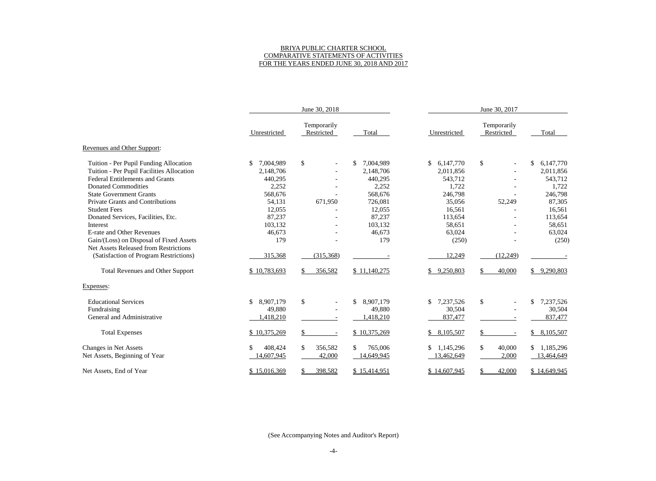#### BRIYA PUBLIC CHARTER SCHOOL COMPARATIVE STATEMENTS OF ACTIVITIES FOR THE YEARS ENDED JUNE 30, 2018 AND 2017

|                                              | June 30, 2018   |                           | June 30, 2017   |                 |                           |                             |
|----------------------------------------------|-----------------|---------------------------|-----------------|-----------------|---------------------------|-----------------------------|
|                                              | Unrestricted    | Temporarily<br>Restricted | Total           | Unrestricted    | Temporarily<br>Restricted | Total                       |
| Revenues and Other Support:                  |                 |                           |                 |                 |                           |                             |
| Tuition - Per Pupil Funding Allocation       | 7,004,989<br>\$ | $\mathbb{S}$              | 7,004,989<br>-S | \$<br>6,147,770 | \$                        | \$<br>6,147,770             |
| Tuition - Per Pupil Facilities Allocation    | 2,148,706       |                           | 2,148,706       | 2,011,856       |                           | 2,011,856                   |
| <b>Federal Entitlements and Grants</b>       | 440,295         |                           | 440,295         | 543,712         |                           | 543,712                     |
| <b>Donated Commodities</b>                   | 2,252           |                           | 2,252           | 1,722           |                           | 1,722                       |
| <b>State Government Grants</b>               | 568,676         |                           | 568,676         | 246,798         |                           | 246,798                     |
| <b>Private Grants and Contributions</b>      | 54,131          | 671,950                   | 726,081         | 35,056          | 52,249                    | 87,305                      |
| <b>Student Fees</b>                          | 12,055          |                           | 12,055          | 16,561          |                           | 16,561                      |
| Donated Services, Facilities, Etc.           | 87,237          |                           | 87,237          | 113,654         |                           | 113,654                     |
| Interest                                     | 103,132         |                           | 103,132         | 58,651          |                           | 58,651                      |
| <b>E-rate and Other Revenues</b>             | 46,673          |                           | 46,673          | 63,024          |                           | 63,024                      |
| Gain/(Loss) on Disposal of Fixed Assets      | 179             |                           | 179             | (250)           |                           | (250)                       |
| <b>Net Assets Released from Restrictions</b> |                 |                           |                 |                 |                           |                             |
| (Satisfaction of Program Restrictions)       | 315,368         | (315, 368)                |                 | 12,249          | (12,249)                  |                             |
| <b>Total Revenues and Other Support</b>      | \$10,783,693    | 356,582                   | \$11,140,275    | 9,250,803<br>\$ | 40,000                    | 9,290,803                   |
| Expenses:                                    |                 |                           |                 |                 |                           |                             |
| <b>Educational Services</b>                  | 8,907,179<br>\$ | $\mathcal{S}$             | 8,907,179<br>\$ | 7,237,526<br>\$ | $\mathcal{S}$             | 7,237,526<br>\$             |
| Fundraising                                  | 49,880          |                           | 49,880          | 30,504          |                           | 30,504                      |
| General and Administrative                   | 1,418,210       |                           | 1,418,210       | 837,477         |                           | 837,477                     |
| <b>Total Expenses</b>                        | \$10,375,269    |                           | \$10,375,269    | 8,105,507<br>\$ | \$                        | 8,105,507<br>$\mathbb{S}^-$ |
| Changes in Net Assets                        | 408,424         | \$<br>356,582             | \$<br>765,006   | 1,145,296<br>\$ | \$<br>40,000              | \$1,185,296                 |
| Net Assets, Beginning of Year                | 14,607,945      | 42,000                    | 14,649,945      | 13,462,649      | 2,000                     | 13,464,649                  |
| Net Assets, End of Year                      | \$15,016,369    | 398,582                   | \$15,414,951    | \$14,607,945    | 42,000<br>\$              | \$14,649,945                |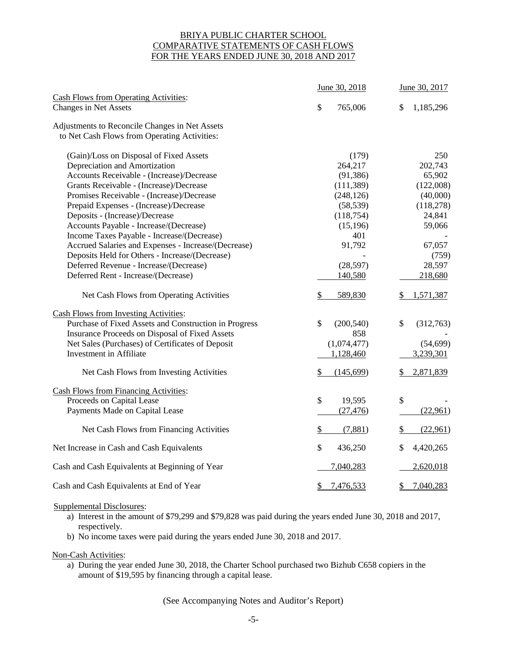#### BRIYA PUBLIC CHARTER SCHOOL COMPARATIVE STATEMENTS OF CASH FLOWS FOR THE YEARS ENDED JUNE 30, 2018 AND 2017

|                                                                                                                                                                                                                                                                                                                                                                                                                                                                                                                                                                             | June 30, 2018                                                                                                                              | June 30, 2017                                                                                                              |
|-----------------------------------------------------------------------------------------------------------------------------------------------------------------------------------------------------------------------------------------------------------------------------------------------------------------------------------------------------------------------------------------------------------------------------------------------------------------------------------------------------------------------------------------------------------------------------|--------------------------------------------------------------------------------------------------------------------------------------------|----------------------------------------------------------------------------------------------------------------------------|
| <b>Cash Flows from Operating Activities:</b><br><b>Changes in Net Assets</b>                                                                                                                                                                                                                                                                                                                                                                                                                                                                                                | \$<br>765,006                                                                                                                              | 1,185,296<br>\$                                                                                                            |
| Adjustments to Reconcile Changes in Net Assets<br>to Net Cash Flows from Operating Activities:                                                                                                                                                                                                                                                                                                                                                                                                                                                                              |                                                                                                                                            |                                                                                                                            |
| (Gain)/Loss on Disposal of Fixed Assets<br>Depreciation and Amortization<br>Accounts Receivable - (Increase)/Decrease<br>Grants Receivable - (Increase)/Decrease<br>Promises Receivable - (Increase)/Decrease<br>Prepaid Expenses - (Increase)/Decrease<br>Deposits - (Increase)/Decrease<br>Accounts Payable - Increase/(Decrease)<br>Income Taxes Payable - Increase/(Decrease)<br>Accrued Salaries and Expenses - Increase/(Decrease)<br>Deposits Held for Others - Increase/(Decrease)<br>Deferred Revenue - Increase/(Decrease)<br>Deferred Rent - Increase/(Decrease) | (179)<br>264,217<br>(91, 386)<br>(111, 389)<br>(248, 126)<br>(58, 539)<br>(118, 754)<br>(15, 196)<br>401<br>91,792<br>(28, 597)<br>140,580 | 250<br>202,743<br>65,902<br>(122,008)<br>(40,000)<br>(118,278)<br>24,841<br>59,066<br>67,057<br>(759)<br>28,597<br>218,680 |
| Net Cash Flows from Operating Activities                                                                                                                                                                                                                                                                                                                                                                                                                                                                                                                                    | 589,830<br>\$                                                                                                                              | 1,571,387                                                                                                                  |
| <b>Cash Flows from Investing Activities:</b><br>Purchase of Fixed Assets and Construction in Progress<br>Insurance Proceeds on Disposal of Fixed Assets<br>Net Sales (Purchases) of Certificates of Deposit<br>Investment in Affiliate                                                                                                                                                                                                                                                                                                                                      | \$<br>(200, 540)<br>858<br>(1,074,477)<br>1,128,460                                                                                        | \$<br>(312,763)<br>(54, 699)<br>3,239,301                                                                                  |
| Net Cash Flows from Investing Activities                                                                                                                                                                                                                                                                                                                                                                                                                                                                                                                                    | \$<br>(145,699)                                                                                                                            | 2,871,839                                                                                                                  |
| <b>Cash Flows from Financing Activities:</b><br>Proceeds on Capital Lease<br>Payments Made on Capital Lease<br>Net Cash Flows from Financing Activities                                                                                                                                                                                                                                                                                                                                                                                                                     | \$<br>19,595<br>(27, 476)<br>\$<br>(7,881)                                                                                                 | \$<br>(22,961)<br>(22,961)<br>\$                                                                                           |
| Net Increase in Cash and Cash Equivalents                                                                                                                                                                                                                                                                                                                                                                                                                                                                                                                                   | \$<br>436,250                                                                                                                              | 4,420,265<br>\$                                                                                                            |
| Cash and Cash Equivalents at Beginning of Year                                                                                                                                                                                                                                                                                                                                                                                                                                                                                                                              | 7,040,283                                                                                                                                  | 2,620,018                                                                                                                  |
| Cash and Cash Equivalents at End of Year                                                                                                                                                                                                                                                                                                                                                                                                                                                                                                                                    | 7,476,533<br>\$                                                                                                                            | 7,040,283<br>\$                                                                                                            |

### Supplemental Disclosures:

- a) Interest in the amount of \$79,299 and \$79,828 was paid during the years ended June 30, 2018 and 2017, respectively.
- b) No income taxes were paid during the years ended June 30, 2018 and 2017.

#### Non-Cash Activities:

a) During the year ended June 30, 2018, the Charter School purchased two Bizhub C658 copiers in the amount of \$19,595 by financing through a capital lease.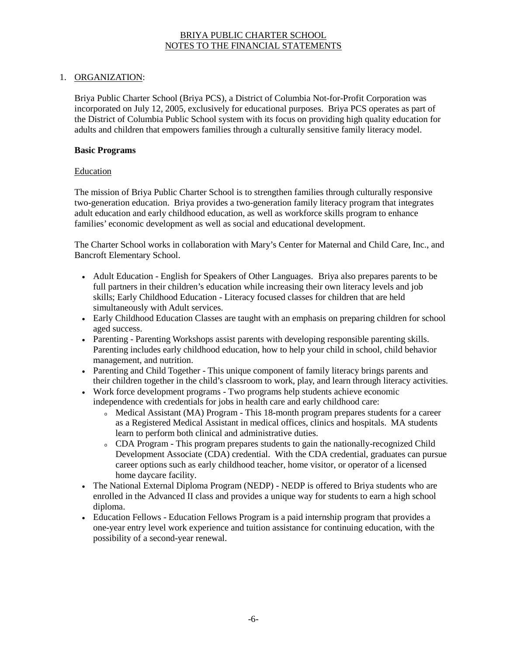### 1. ORGANIZATION:

Briya Public Charter School (Briya PCS), a District of Columbia Not-for-Profit Corporation was incorporated on July 12, 2005, exclusively for educational purposes. Briya PCS operates as part of the District of Columbia Public School system with its focus on providing high quality education for adults and children that empowers families through a culturally sensitive family literacy model.

### **Basic Programs**

### **Education**

The mission of Briya Public Charter School is to strengthen families through culturally responsive two-generation education. Briya provides a two-generation family literacy program that integrates adult education and early childhood education, as well as workforce skills program to enhance families' economic development as well as social and educational development.

The Charter School works in collaboration with Mary's Center for Maternal and Child Care, Inc., and Bancroft Elementary School.

- Adult Education English for Speakers of Other Languages. Briya also prepares parents to be full partners in their children's education while increasing their own literacy levels and job skills; Early Childhood Education - Literacy focused classes for children that are held simultaneously with Adult services.
- Early Childhood Education Classes are taught with an emphasis on preparing children for school aged success.
- Parenting Parenting Workshops assist parents with developing responsible parenting skills. Parenting includes early childhood education, how to help your child in school, child behavior management, and nutrition.
- Parenting and Child Together This unique component of family literacy brings parents and their children together in the child's classroom to work, play, and learn through literacy activities.
- Work force development programs Two programs help students achieve economic independence with credentials for jobs in health care and early childhood care:
	- <sup>o</sup> Medical Assistant (MA) Program This 18-month program prepares students for a career as a Registered Medical Assistant in medical offices, clinics and hospitals. MA students learn to perform both clinical and administrative duties.
	- <sup>o</sup> CDA Program This program prepares students to gain the nationally-recognized Child Development Associate (CDA) credential. With the CDA credential, graduates can pursue career options such as early childhood teacher, home visitor, or operator of a licensed home daycare facility.
- The National External Diploma Program (NEDP) NEDP is offered to Briya students who are enrolled in the Advanced II class and provides a unique way for students to earn a high school diploma.
- Education Fellows Education Fellows Program is a paid internship program that provides a one-year entry level work experience and tuition assistance for continuing education, with the possibility of a second-year renewal.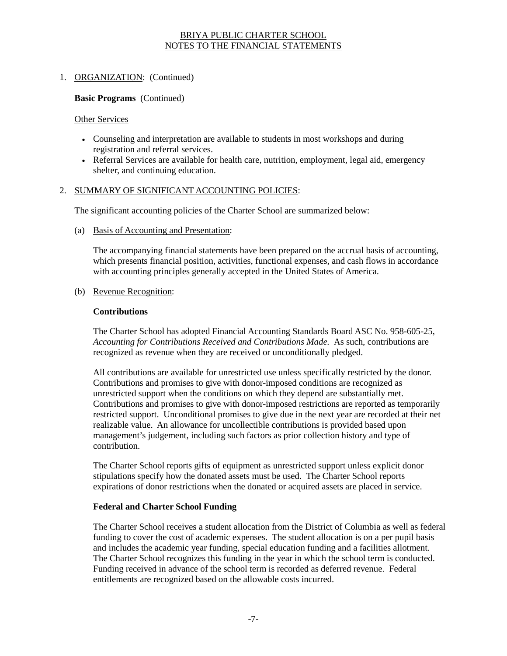### 1. ORGANIZATION: (Continued)

### **Basic Programs** (Continued)

### Other Services

- Counseling and interpretation are available to students in most workshops and during registration and referral services.
- Referral Services are available for health care, nutrition, employment, legal aid, emergency shelter, and continuing education.

#### 2. SUMMARY OF SIGNIFICANT ACCOUNTING POLICIES:

The significant accounting policies of the Charter School are summarized below:

(a) Basis of Accounting and Presentation:

The accompanying financial statements have been prepared on the accrual basis of accounting, which presents financial position, activities, functional expenses, and cash flows in accordance with accounting principles generally accepted in the United States of America.

(b) Revenue Recognition:

#### **Contributions**

The Charter School has adopted Financial Accounting Standards Board ASC No. 958-605-25, *Accounting for Contributions Received and Contributions Made.* As such, contributions are recognized as revenue when they are received or unconditionally pledged.

All contributions are available for unrestricted use unless specifically restricted by the donor. Contributions and promises to give with donor-imposed conditions are recognized as unrestricted support when the conditions on which they depend are substantially met. Contributions and promises to give with donor-imposed restrictions are reported as temporarily restricted support. Unconditional promises to give due in the next year are recorded at their net realizable value. An allowance for uncollectible contributions is provided based upon management's judgement, including such factors as prior collection history and type of contribution.

The Charter School reports gifts of equipment as unrestricted support unless explicit donor stipulations specify how the donated assets must be used. The Charter School reports expirations of donor restrictions when the donated or acquired assets are placed in service.

### **Federal and Charter School Funding**

The Charter School receives a student allocation from the District of Columbia as well as federal funding to cover the cost of academic expenses. The student allocation is on a per pupil basis and includes the academic year funding, special education funding and a facilities allotment. The Charter School recognizes this funding in the year in which the school term is conducted. Funding received in advance of the school term is recorded as deferred revenue. Federal entitlements are recognized based on the allowable costs incurred.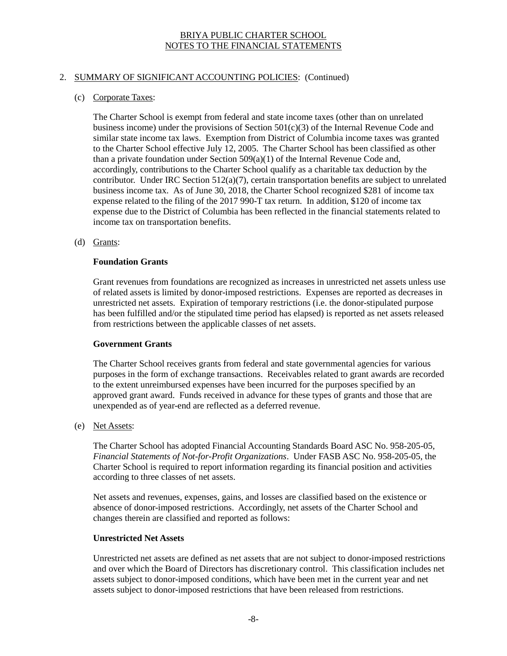### 2. SUMMARY OF SIGNIFICANT ACCOUNTING POLICIES: (Continued)

### (c) Corporate Taxes:

The Charter School is exempt from federal and state income taxes (other than on unrelated business income) under the provisions of Section  $501(c)(3)$  of the Internal Revenue Code and similar state income tax laws. Exemption from District of Columbia income taxes was granted to the Charter School effective July 12, 2005. The Charter School has been classified as other than a private foundation under Section 509(a)(1) of the Internal Revenue Code and, accordingly, contributions to the Charter School qualify as a charitable tax deduction by the contributor. Under IRC Section  $512(a)(7)$ , certain transportation benefits are subject to unrelated business income tax. As of June 30, 2018, the Charter School recognized \$281 of income tax expense related to the filing of the 2017 990-T tax return. In addition, \$120 of income tax expense due to the District of Columbia has been reflected in the financial statements related to income tax on transportation benefits.

#### (d) Grants:

#### **Foundation Grants**

Grant revenues from foundations are recognized as increases in unrestricted net assets unless use of related assets is limited by donor-imposed restrictions. Expenses are reported as decreases in unrestricted net assets. Expiration of temporary restrictions (i.e. the donor-stipulated purpose has been fulfilled and/or the stipulated time period has elapsed) is reported as net assets released from restrictions between the applicable classes of net assets.

### **Government Grants**

The Charter School receives grants from federal and state governmental agencies for various purposes in the form of exchange transactions. Receivables related to grant awards are recorded to the extent unreimbursed expenses have been incurred for the purposes specified by an approved grant award. Funds received in advance for these types of grants and those that are unexpended as of year-end are reflected as a deferred revenue.

### (e) Net Assets:

The Charter School has adopted Financial Accounting Standards Board ASC No. 958-205-05, *Financial Statements of Not-for-Profit Organizations*. Under FASB ASC No. 958-205-05, the Charter School is required to report information regarding its financial position and activities according to three classes of net assets.

Net assets and revenues, expenses, gains, and losses are classified based on the existence or absence of donor-imposed restrictions. Accordingly, net assets of the Charter School and changes therein are classified and reported as follows:

### **Unrestricted Net Assets**

Unrestricted net assets are defined as net assets that are not subject to donor-imposed restrictions and over which the Board of Directors has discretionary control. This classification includes net assets subject to donor-imposed conditions, which have been met in the current year and net assets subject to donor-imposed restrictions that have been released from restrictions.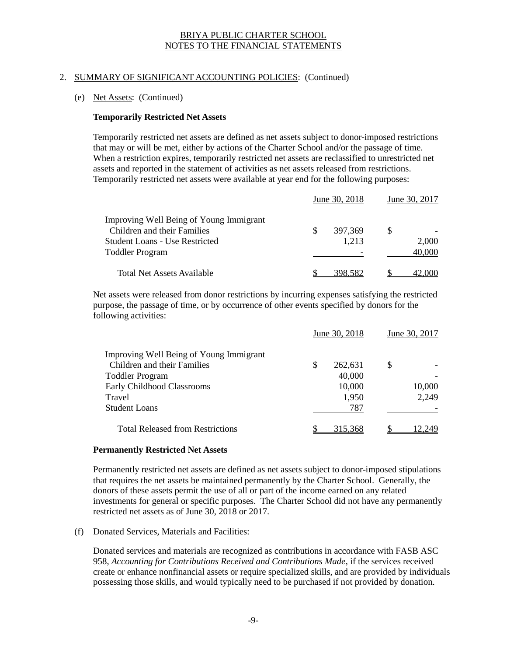### 2. SUMMARY OF SIGNIFICANT ACCOUNTING POLICIES: (Continued)

### (e) Net Assets: (Continued)

### **Temporarily Restricted Net Assets**

Temporarily restricted net assets are defined as net assets subject to donor-imposed restrictions that may or will be met, either by actions of the Charter School and/or the passage of time. When a restriction expires, temporarily restricted net assets are reclassified to unrestricted net assets and reported in the statement of activities as net assets released from restrictions. Temporarily restricted net assets were available at year end for the following purposes:

|                                         |   | June 30, 2018 |   | June 30, 2017 |
|-----------------------------------------|---|---------------|---|---------------|
| Improving Well Being of Young Immigrant |   |               |   |               |
| Children and their Families             | S | 397,369       | S |               |
| <b>Student Loans - Use Restricted</b>   |   | 1,213         |   | 2,000         |
| <b>Toddler Program</b>                  |   |               |   | 40,000        |
| Total Net Assets Available              |   | 398.582       |   |               |

Net assets were released from donor restrictions by incurring expenses satisfying the restricted purpose, the passage of time, or by occurrence of other events specified by donors for the following activities:

|                                         |    | June 30, 2018 |   | June 30, 2017 |
|-----------------------------------------|----|---------------|---|---------------|
| Improving Well Being of Young Immigrant |    |               |   |               |
| Children and their Families             | \$ | 262,631       | S |               |
| <b>Toddler Program</b>                  |    | 40,000        |   |               |
| Early Childhood Classrooms              |    | 10,000        |   | 10,000        |
| Travel                                  |    | 1,950         |   | 2,249         |
| <b>Student Loans</b>                    |    | 787           |   |               |
| <b>Total Released from Restrictions</b> | œ  | 315.368       |   |               |

### **Permanently Restricted Net Assets**

Permanently restricted net assets are defined as net assets subject to donor-imposed stipulations that requires the net assets be maintained permanently by the Charter School. Generally, the donors of these assets permit the use of all or part of the income earned on any related investments for general or specific purposes. The Charter School did not have any permanently restricted net assets as of June 30, 2018 or 2017.

### (f) Donated Services, Materials and Facilities:

Donated services and materials are recognized as contributions in accordance with FASB ASC 958, *Accounting for Contributions Received and Contributions Made*, if the services received create or enhance nonfinancial assets or require specialized skills, and are provided by individuals possessing those skills, and would typically need to be purchased if not provided by donation.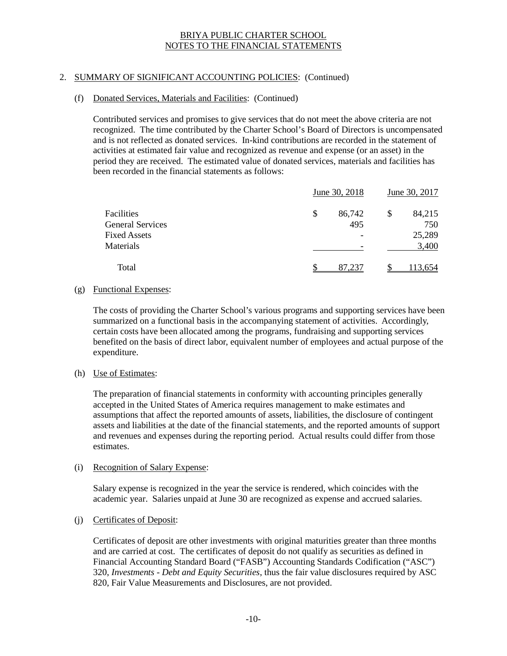# 2. SUMMARY OF SIGNIFICANT ACCOUNTING POLICIES: (Continued)

### (f) Donated Services, Materials and Facilities: (Continued)

Contributed services and promises to give services that do not meet the above criteria are not recognized. The time contributed by the Charter School's Board of Directors is uncompensated and is not reflected as donated services. In-kind contributions are recorded in the statement of activities at estimated fair value and recognized as revenue and expense (or an asset) in the period they are received. The estimated value of donated services, materials and facilities has been recorded in the financial statements as follows:

|                         |    | June 30, 2018 | June 30, 2017 |
|-------------------------|----|---------------|---------------|
| Facilities              | \$ | 86,742        | 84,215        |
| <b>General Services</b> |    | 495           | 750           |
| <b>Fixed Assets</b>     |    |               | 25,289        |
| Materials               |    |               | 3,400         |
| Total                   | ¢  |               | 13.654        |

### (g) Functional Expenses:

The costs of providing the Charter School's various programs and supporting services have been summarized on a functional basis in the accompanying statement of activities. Accordingly, certain costs have been allocated among the programs, fundraising and supporting services benefited on the basis of direct labor, equivalent number of employees and actual purpose of the expenditure.

### (h) Use of Estimates:

The preparation of financial statements in conformity with accounting principles generally accepted in the United States of America requires management to make estimates and assumptions that affect the reported amounts of assets, liabilities, the disclosure of contingent assets and liabilities at the date of the financial statements, and the reported amounts of support and revenues and expenses during the reporting period. Actual results could differ from those estimates.

### (i) Recognition of Salary Expense:

Salary expense is recognized in the year the service is rendered, which coincides with the academic year. Salaries unpaid at June 30 are recognized as expense and accrued salaries.

### (j) Certificates of Deposit:

Certificates of deposit are other investments with original maturities greater than three months and are carried at cost. The certificates of deposit do not qualify as securities as defined in Financial Accounting Standard Board ("FASB") Accounting Standards Codification ("ASC") 320, *Investments - Debt and Equity Securities*, thus the fair value disclosures required by ASC 820, Fair Value Measurements and Disclosures, are not provided.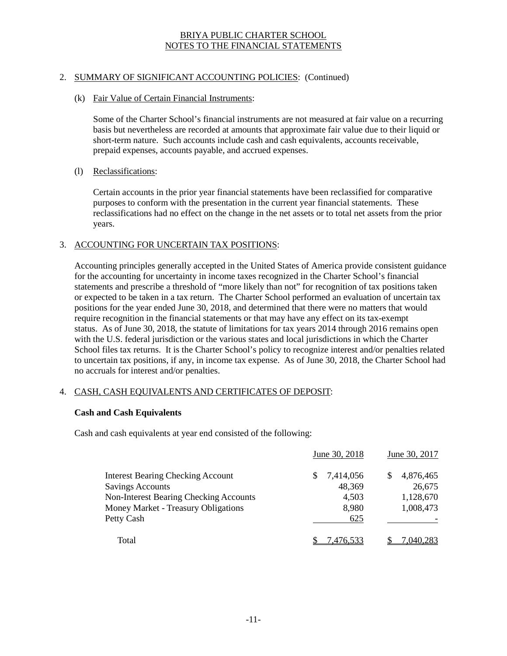# 2. SUMMARY OF SIGNIFICANT ACCOUNTING POLICIES: (Continued)

#### (k) Fair Value of Certain Financial Instruments:

Some of the Charter School's financial instruments are not measured at fair value on a recurring basis but nevertheless are recorded at amounts that approximate fair value due to their liquid or short-term nature. Such accounts include cash and cash equivalents, accounts receivable, prepaid expenses, accounts payable, and accrued expenses.

### (l) Reclassifications:

Certain accounts in the prior year financial statements have been reclassified for comparative purposes to conform with the presentation in the current year financial statements. These reclassifications had no effect on the change in the net assets or to total net assets from the prior years.

#### 3. ACCOUNTING FOR UNCERTAIN TAX POSITIONS:

Accounting principles generally accepted in the United States of America provide consistent guidance for the accounting for uncertainty in income taxes recognized in the Charter School's financial statements and prescribe a threshold of "more likely than not" for recognition of tax positions taken or expected to be taken in a tax return. The Charter School performed an evaluation of uncertain tax positions for the year ended June 30, 2018, and determined that there were no matters that would require recognition in the financial statements or that may have any effect on its tax-exempt status. As of June 30, 2018, the statute of limitations for tax years 2014 through 2016 remains open with the U.S. federal jurisdiction or the various states and local jurisdictions in which the Charter School files tax returns. It is the Charter School's policy to recognize interest and/or penalties related to uncertain tax positions, if any, in income tax expense. As of June 30, 2018, the Charter School had no accruals for interest and/or penalties.

### 4. CASH, CASH EQUIVALENTS AND CERTIFICATES OF DEPOSIT:

### **Cash and Cash Equivalents**

Cash and cash equivalents at year end consisted of the following:

|                                               | June 30, 2018   | June 30, 2017 |
|-----------------------------------------------|-----------------|---------------|
| <b>Interest Bearing Checking Account</b>      | 7,414,056<br>S. | 4,876,465     |
| <b>Savings Accounts</b>                       | 48,369          | 26,675        |
| <b>Non-Interest Bearing Checking Accounts</b> | 4,503           | 1,128,670     |
| Money Market - Treasury Obligations           | 8,980           | 1,008,473     |
| Petty Cash                                    | 625             |               |
| Total                                         | 7.476.533       | 1.040.283     |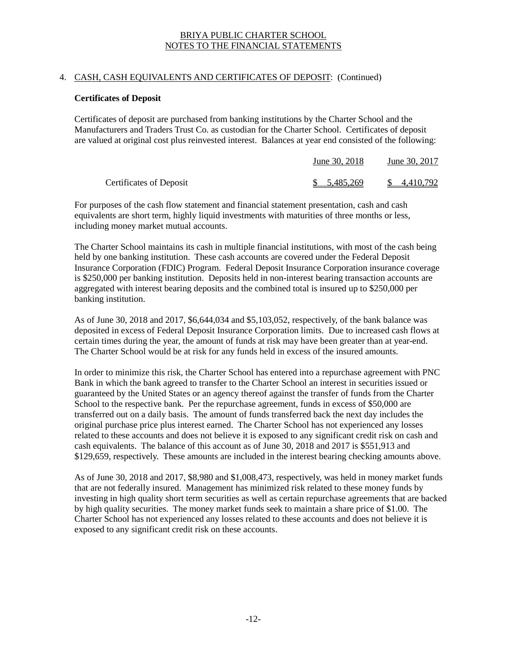# 4. CASH, CASH EQUIVALENTS AND CERTIFICATES OF DEPOSIT: (Continued)

### **Certificates of Deposit**

Certificates of deposit are purchased from banking institutions by the Charter School and the Manufacturers and Traders Trust Co. as custodian for the Charter School. Certificates of deposit are valued at original cost plus reinvested interest. Balances at year end consisted of the following:

|                                | June 30, 2018 | June 30, 2017 |
|--------------------------------|---------------|---------------|
| <b>Certificates of Deposit</b> | \$5,485,269   | \$4,410,792   |

For purposes of the cash flow statement and financial statement presentation, cash and cash equivalents are short term, highly liquid investments with maturities of three months or less, including money market mutual accounts.

The Charter School maintains its cash in multiple financial institutions, with most of the cash being held by one banking institution. These cash accounts are covered under the Federal Deposit Insurance Corporation (FDIC) Program. Federal Deposit Insurance Corporation insurance coverage is \$250,000 per banking institution. Deposits held in non-interest bearing transaction accounts are aggregated with interest bearing deposits and the combined total is insured up to \$250,000 per banking institution.

As of June 30, 2018 and 2017, \$6,644,034 and \$5,103,052, respectively, of the bank balance was deposited in excess of Federal Deposit Insurance Corporation limits. Due to increased cash flows at certain times during the year, the amount of funds at risk may have been greater than at year-end. The Charter School would be at risk for any funds held in excess of the insured amounts.

In order to minimize this risk, the Charter School has entered into a repurchase agreement with PNC Bank in which the bank agreed to transfer to the Charter School an interest in securities issued or guaranteed by the United States or an agency thereof against the transfer of funds from the Charter School to the respective bank. Per the repurchase agreement, funds in excess of \$50,000 are transferred out on a daily basis. The amount of funds transferred back the next day includes the original purchase price plus interest earned. The Charter School has not experienced any losses related to these accounts and does not believe it is exposed to any significant credit risk on cash and cash equivalents. The balance of this account as of June 30, 2018 and 2017 is \$551,913 and \$129,659, respectively. These amounts are included in the interest bearing checking amounts above.

As of June 30, 2018 and 2017, \$8,980 and \$1,008,473, respectively, was held in money market funds that are not federally insured. Management has minimized risk related to these money funds by investing in high quality short term securities as well as certain repurchase agreements that are backed by high quality securities. The money market funds seek to maintain a share price of \$1.00. The Charter School has not experienced any losses related to these accounts and does not believe it is exposed to any significant credit risk on these accounts.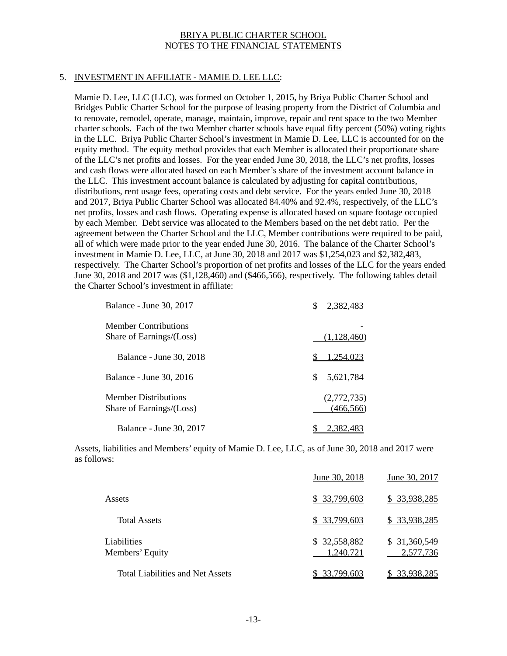### 5. INVESTMENT IN AFFILIATE - MAMIE D. LEE LLC:

Mamie D. Lee, LLC (LLC), was formed on October 1, 2015, by Briya Public Charter School and Bridges Public Charter School for the purpose of leasing property from the District of Columbia and to renovate, remodel, operate, manage, maintain, improve, repair and rent space to the two Member charter schools. Each of the two Member charter schools have equal fifty percent (50%) voting rights in the LLC. Briya Public Charter School's investment in Mamie D. Lee, LLC is accounted for on the equity method. The equity method provides that each Member is allocated their proportionate share of the LLC's net profits and losses. For the year ended June 30, 2018, the LLC's net profits, losses and cash flows were allocated based on each Member's share of the investment account balance in the LLC. This investment account balance is calculated by adjusting for capital contributions, distributions, rent usage fees, operating costs and debt service. For the years ended June 30, 2018 and 2017, Briya Public Charter School was allocated 84.40% and 92.4%, respectively, of the LLC's net profits, losses and cash flows. Operating expense is allocated based on square footage occupied by each Member. Debt service was allocated to the Members based on the net debt ratio. Per the agreement between the Charter School and the LLC, Member contributions were required to be paid, all of which were made prior to the year ended June 30, 2016. The balance of the Charter School's investment in Mamie D. Lee, LLC, at June 30, 2018 and 2017 was \$1,254,023 and \$2,382,483, respectively. The Charter School's proportion of net profits and losses of the LLC for the years ended June 30, 2018 and 2017 was (\$1,128,460) and (\$466,566), respectively. The following tables detail the Charter School's investment in affiliate:

| <b>Balance - June 30, 2017</b>                          | 2,382,483                 |
|---------------------------------------------------------|---------------------------|
| Member Contributions<br>Share of Earnings/(Loss)        | (1,128,460)               |
| Balance - June 30, 2018                                 | 1,254,023                 |
| Balance - June 30, 2016                                 | 5,621,784<br>S.           |
| <b>Member Distributions</b><br>Share of Earnings/(Loss) | (2,772,735)<br>(466, 566) |
| Balance - June 30, 2017                                 | 2,382,483                 |

Assets, liabilities and Members' equity of Mamie D. Lee, LLC, as of June 30, 2018 and 2017 were as follows:

|                                         | June 30, 2018             | June 30, 2017              |
|-----------------------------------------|---------------------------|----------------------------|
| Assets                                  | \$33,799,603              | \$33,938,285               |
| <b>Total Assets</b>                     | \$33,799,603              | \$33,938,285               |
| Liabilities<br>Members' Equity          | \$32,558,882<br>1,240,721 | \$ 31,360,549<br>2,577,736 |
| <b>Total Liabilities and Net Assets</b> | <u>33.799.603</u>         | 33,938,285                 |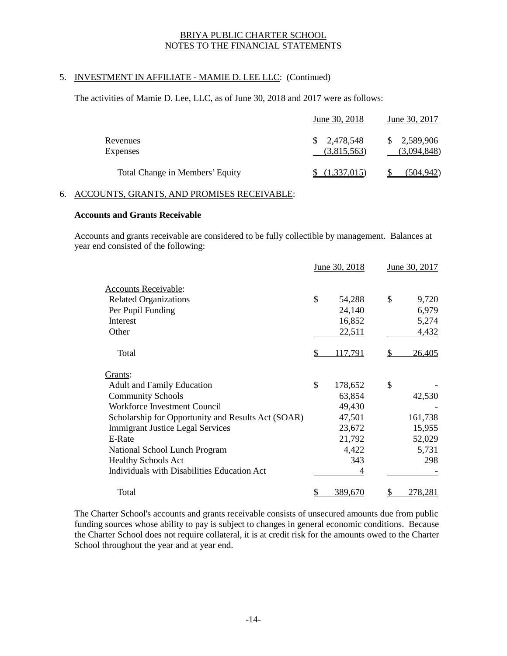# 5. INVESTMENT IN AFFILIATE - MAMIE D. LEE LLC: (Continued)

The activities of Mamie D. Lee, LLC, as of June 30, 2018 and 2017 were as follows:

|                                 | June 30, 2018                  | June 30, 2017              |
|---------------------------------|--------------------------------|----------------------------|
| Revenues<br><b>Expenses</b>     | 2,478,548<br>S.<br>(3,815,563) | \$2,589,906<br>(3,094,848) |
| Total Change in Members' Equity | (1.337.015)                    | (504.942)                  |

### 6. ACCOUNTS, GRANTS, AND PROMISES RECEIVABLE:

#### **Accounts and Grants Receivable**

Accounts and grants receivable are considered to be fully collectible by management. Balances at year end consisted of the following:

|                                                    | June 30, 2018 | June 30, 2017 |
|----------------------------------------------------|---------------|---------------|
| <b>Accounts Receivable:</b>                        |               |               |
| <b>Related Organizations</b>                       | \$<br>54,288  | \$<br>9,720   |
| Per Pupil Funding                                  | 24,140        | 6,979         |
| Interest                                           | 16,852        | 5,274         |
| Other                                              | 22,511        | <u>4,432</u>  |
| Total                                              | 117,791       | <u>26,405</u> |
| Grants:                                            |               |               |
| <b>Adult and Family Education</b>                  | \$<br>178,652 | \$            |
| <b>Community Schools</b>                           | 63,854        | 42,530        |
| Workforce Investment Council                       | 49,430        |               |
| Scholarship for Opportunity and Results Act (SOAR) | 47,501        | 161,738       |
| <b>Immigrant Justice Legal Services</b>            | 23,672        | 15,955        |
| E-Rate                                             | 21,792        | 52,029        |
| National School Lunch Program                      | 4,422         | 5,731         |
| <b>Healthy Schools Act</b>                         | 343           | 298           |
| Individuals with Disabilities Education Act        | 4             |               |
| Total                                              | \$<br>389,670 | \$<br>278,281 |

The Charter School's accounts and grants receivable consists of unsecured amounts due from public funding sources whose ability to pay is subject to changes in general economic conditions. Because the Charter School does not require collateral, it is at credit risk for the amounts owed to the Charter School throughout the year and at year end.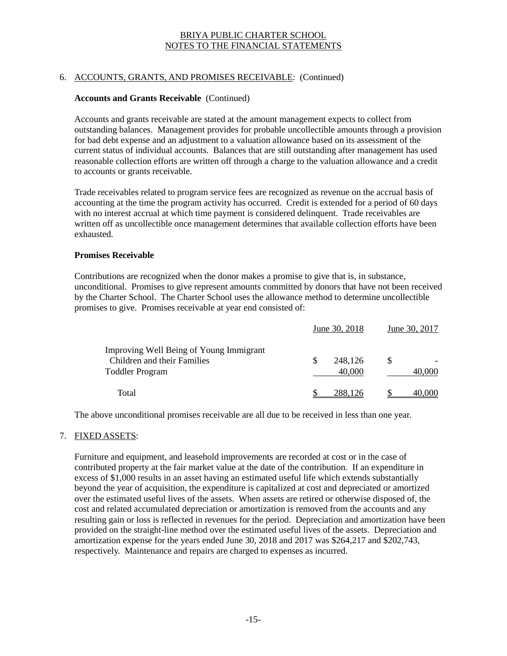# 6. ACCOUNTS, GRANTS, AND PROMISES RECEIVABLE: (Continued)

### **Accounts and Grants Receivable** (Continued)

Accounts and grants receivable are stated at the amount management expects to collect from outstanding balances. Management provides for probable uncollectible amounts through a provision for bad debt expense and an adjustment to a valuation allowance based on its assessment of the current status of individual accounts. Balances that are still outstanding after management has used reasonable collection efforts are written off through a charge to the valuation allowance and a credit to accounts or grants receivable.

Trade receivables related to program service fees are recognized as revenue on the accrual basis of accounting at the time the program activity has occurred. Credit is extended for a period of 60 days with no interest accrual at which time payment is considered delinquent. Trade receivables are written off as uncollectible once management determines that available collection efforts have been exhausted.

### **Promises Receivable**

Contributions are recognized when the donor makes a promise to give that is, in substance, unconditional. Promises to give represent amounts committed by donors that have not been received by the Charter School. The Charter School uses the allowance method to determine uncollectible promises to give. Promises receivable at year end consisted of:

|                                                                                                  | June 30, 2018     | June 30, 2017 |
|--------------------------------------------------------------------------------------------------|-------------------|---------------|
| Improving Well Being of Young Immigrant<br>Children and their Families<br><b>Toddler Program</b> | 248.126<br>40,000 | 40,000        |
| Total                                                                                            | 288. L            |               |

The above unconditional promises receivable are all due to be received in less than one year.

### 7. FIXED ASSETS:

Furniture and equipment, and leasehold improvements are recorded at cost or in the case of contributed property at the fair market value at the date of the contribution. If an expenditure in excess of \$1,000 results in an asset having an estimated useful life which extends substantially beyond the year of acquisition, the expenditure is capitalized at cost and depreciated or amortized over the estimated useful lives of the assets. When assets are retired or otherwise disposed of, the cost and related accumulated depreciation or amortization is removed from the accounts and any resulting gain or loss is reflected in revenues for the period. Depreciation and amortization have been provided on the straight-line method over the estimated useful lives of the assets. Depreciation and amortization expense for the years ended June 30, 2018 and 2017 was \$264,217 and \$202,743, respectively. Maintenance and repairs are charged to expenses as incurred.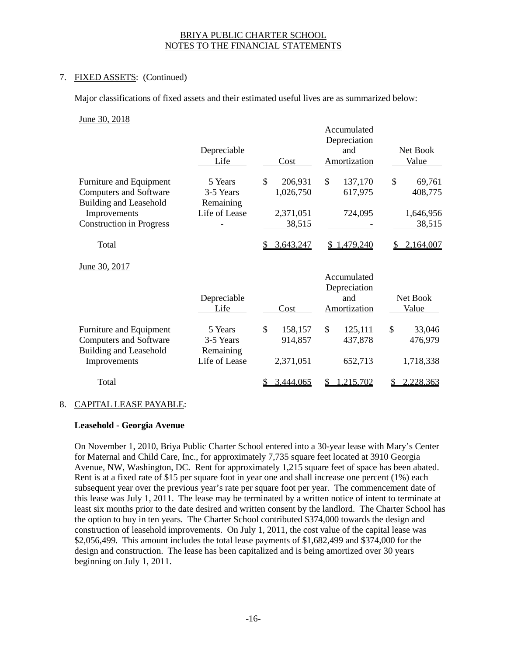# 7. FIXED ASSETS: (Continued)

Major classifications of fixed assets and their estimated useful lives are as summarized below:

### June 30, 2018

|                                                                                           | Depreciable<br>Life               | Cost                       | Accumulated<br>Depreciation<br>and<br><b>Amortization</b> | Net Book<br>Value                  |
|-------------------------------------------------------------------------------------------|-----------------------------------|----------------------------|-----------------------------------------------------------|------------------------------------|
| Furniture and Equipment<br><b>Computers and Software</b><br><b>Building and Leasehold</b> | 5 Years<br>3-5 Years<br>Remaining | \$<br>206,931<br>1,026,750 | \$<br>137,170<br>617,975                                  | \$<br>69,761<br>408,775            |
| Improvements<br><b>Construction in Progress</b>                                           | Life of Lease                     | 2,371,051<br><u>38,515</u> | 724,095                                                   | 1,646,956<br>38,515                |
| Total                                                                                     |                                   | 3,643,247                  | 1,479,240                                                 | 2,164,007                          |
| June 30, 2017                                                                             | Depreciable<br>Life               | Cost                       | Accumulated<br>Depreciation<br>and<br>Amortization        | Net Book<br>Value                  |
| Furniture and Equipment<br><b>Computers and Software</b><br>Building and Leasehold        | 5 Years<br>3-5 Years<br>Remaining | \$<br>158,157<br>914,857   | \$<br>125,111<br>437,878                                  | $\mathcal{S}$<br>33,046<br>476,979 |
| Improvements                                                                              | Life of Lease                     | 2,371,051                  | 652,713                                                   | 1,718,338                          |
|                                                                                           |                                   |                            |                                                           |                                    |

# 8. CAPITAL LEASE PAYABLE:

### **Leasehold - Georgia Avenue**

On November 1, 2010, Briya Public Charter School entered into a 30-year lease with Mary's Center for Maternal and Child Care, Inc., for approximately 7,735 square feet located at 3910 Georgia Avenue, NW, Washington, DC. Rent for approximately 1,215 square feet of space has been abated. Rent is at a fixed rate of \$15 per square foot in year one and shall increase one percent (1%) each subsequent year over the previous year's rate per square foot per year. The commencement date of this lease was July 1, 2011. The lease may be terminated by a written notice of intent to terminate at least six months prior to the date desired and written consent by the landlord. The Charter School has the option to buy in ten years. The Charter School contributed \$374,000 towards the design and construction of leasehold improvements. On July 1, 2011, the cost value of the capital lease was \$2,056,499. This amount includes the total lease payments of \$1,682,499 and \$374,000 for the design and construction. The lease has been capitalized and is being amortized over 30 years beginning on July 1, 2011.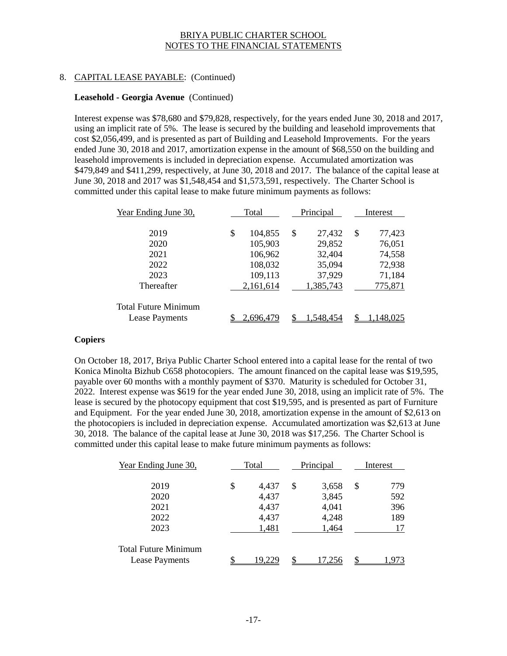# 8. CAPITAL LEASE PAYABLE: (Continued)

#### **Leasehold - Georgia Avenue** (Continued)

Interest expense was \$78,680 and \$79,828, respectively, for the years ended June 30, 2018 and 2017, using an implicit rate of 5%. The lease is secured by the building and leasehold improvements that cost \$2,056,499, and is presented as part of Building and Leasehold Improvements. For the years ended June 30, 2018 and 2017, amortization expense in the amount of \$68,550 on the building and leasehold improvements is included in depreciation expense. Accumulated amortization was \$479,849 and \$411,299, respectively, at June 30, 2018 and 2017. The balance of the capital lease at June 30, 2018 and 2017 was \$1,548,454 and \$1,573,591, respectively. The Charter School is committed under this capital lease to make future minimum payments as follows:

| Year Ending June 30,        | Total         | Principal    | Interest     |
|-----------------------------|---------------|--------------|--------------|
| 2019                        | \$<br>104,855 | \$<br>27,432 | \$<br>77,423 |
| 2020                        | 105,903       | 29,852       | 76,051       |
| 2021                        | 106,962       | 32,404       | 74,558       |
| 2022                        | 108,032       | 35,094       | 72,938       |
| 2023                        | 109,113       | 37,929       | 71,184       |
| Thereafter                  | 2,161,614     | 1,385,743    | 775,871      |
| <b>Total Future Minimum</b> |               |              |              |
| <b>Lease Payments</b>       | 2.696.479     | 1.548.454    | ,148,025     |

#### **Copiers**

On October 18, 2017, Briya Public Charter School entered into a capital lease for the rental of two Konica Minolta Bizhub C658 photocopiers. The amount financed on the capital lease was \$19,595, payable over 60 months with a monthly payment of \$370. Maturity is scheduled for October 31, 2022. Interest expense was \$619 for the year ended June 30, 2018, using an implicit rate of 5%. The lease is secured by the photocopy equipment that cost \$19,595, and is presented as part of Furniture and Equipment. For the year ended June 30, 2018, amortization expense in the amount of \$2,613 on the photocopiers is included in depreciation expense. Accumulated amortization was \$2,613 at June 30, 2018. The balance of the capital lease at June 30, 2018 was \$17,256. The Charter School is committed under this capital lease to make future minimum payments as follows:

| Year Ending June 30,        | Total       |   | Principal | Interest  |
|-----------------------------|-------------|---|-----------|-----------|
| 2019                        | \$<br>4,437 | S | 3,658     | \$<br>779 |
| 2020                        | 4,437       |   | 3,845     | 592       |
| 2021                        | 4,437       |   | 4,041     | 396       |
| 2022                        | 4,437       |   | 4,248     | 189       |
| 2023                        | 1,481       |   | 1,464     | 17        |
| <b>Total Future Minimum</b> |             |   |           |           |
| <b>Lease Payments</b>       |             |   | 7.256     |           |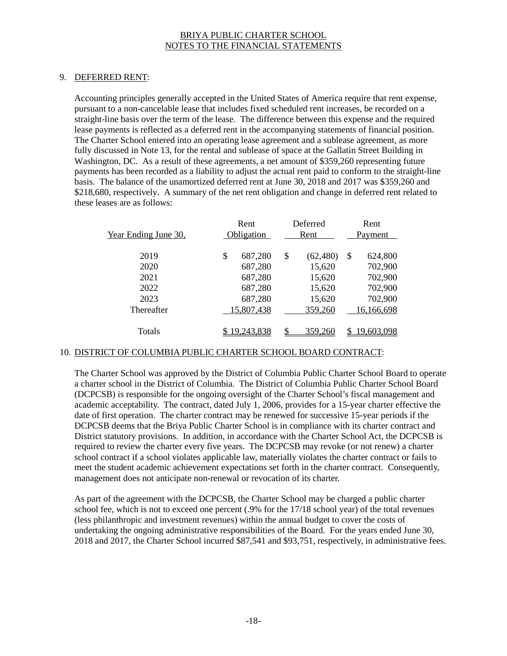### 9. DEFERRED RENT:

Accounting principles generally accepted in the United States of America require that rent expense, pursuant to a non-cancelable lease that includes fixed scheduled rent increases, be recorded on a straight-line basis over the term of the lease. The difference between this expense and the required lease payments is reflected as a deferred rent in the accompanying statements of financial position. The Charter School entered into an operating lease agreement and a sublease agreement, as more fully discussed in Note 13, for the rental and sublease of space at the Gallatin Street Building in Washington, DC. As a result of these agreements, a net amount of \$359,260 representing future payments has been recorded as a liability to adjust the actual rent paid to conform to the straight-line basis. The balance of the unamortized deferred rent at June 30, 2018 and 2017 was \$359,260 and \$218,680, respectively. A summary of the net rent obligation and change in deferred rent related to these leases are as follows:

|                      |            | Rent       |    | Deferred  |         | Rent       |
|----------------------|------------|------------|----|-----------|---------|------------|
| Year Ending June 30, | Obligation |            |    | Rent      | Payment |            |
|                      |            |            |    |           |         |            |
| 2019                 | \$         | 687,280    | \$ | (62, 480) | \$      | 624,800    |
| 2020                 |            | 687,280    |    | 15,620    |         | 702,900    |
| 2021                 |            | 687,280    |    | 15,620    |         | 702,900    |
| 2022                 |            | 687,280    |    | 15,620    |         | 702,900    |
| 2023                 |            | 687,280    |    | 15,620    |         | 702,900    |
| Thereafter           |            | 15,807,438 |    | 359,260   |         | 16,166,698 |
| Totals               |            | 19.243.838 | ፍ  | 359,260   |         | 9.603.098  |

### 10. DISTRICT OF COLUMBIA PUBLIC CHARTER SCHOOL BOARD CONTRACT:

The Charter School was approved by the District of Columbia Public Charter School Board to operate a charter school in the District of Columbia. The District of Columbia Public Charter School Board (DCPCSB) is responsible for the ongoing oversight of the Charter School's fiscal management and academic acceptability. The contract, dated July 1, 2006, provides for a 15-year charter effective the date of first operation. The charter contract may be renewed for successive 15-year periods if the DCPCSB deems that the Briya Public Charter School is in compliance with its charter contract and District statutory provisions. In addition, in accordance with the Charter School Act, the DCPCSB is required to review the charter every five years. The DCPCSB may revoke (or not renew) a charter school contract if a school violates applicable law, materially violates the charter contract or fails to meet the student academic achievement expectations set forth in the charter contract. Consequently, management does not anticipate non-renewal or revocation of its charter.

As part of the agreement with the DCPCSB, the Charter School may be charged a public charter school fee, which is not to exceed one percent (.9% for the 17/18 school year) of the total revenues (less philanthropic and investment revenues) within the annual budget to cover the costs of undertaking the ongoing administrative responsibilities of the Board. For the years ended June 30, 2018 and 2017, the Charter School incurred \$87,541 and \$93,751, respectively, in administrative fees.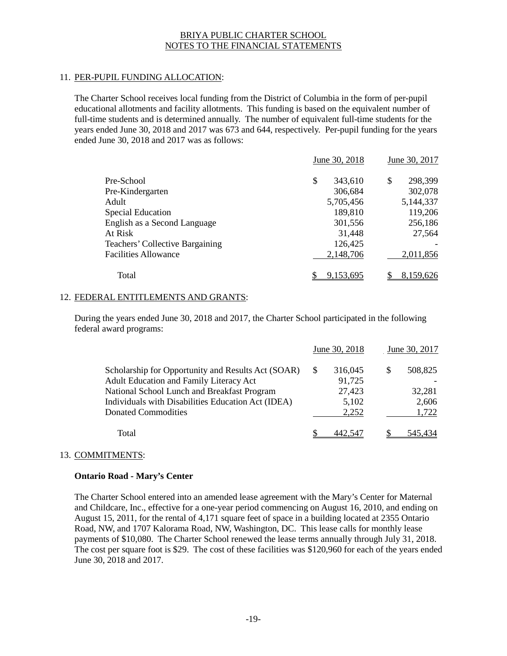### 11. PER-PUPIL FUNDING ALLOCATION:

The Charter School receives local funding from the District of Columbia in the form of per-pupil educational allotments and facility allotments. This funding is based on the equivalent number of full-time students and is determined annually. The number of equivalent full-time students for the years ended June 30, 2018 and 2017 was 673 and 644, respectively. Per-pupil funding for the years ended June 30, 2018 and 2017 was as follows:

|                                 | June 30, 2018 | June 30, 2017 |
|---------------------------------|---------------|---------------|
| Pre-School                      | \$<br>343,610 | \$<br>298,399 |
| Pre-Kindergarten                | 306,684       | 302,078       |
| Adult                           | 5,705,456     | 5,144,337     |
| <b>Special Education</b>        | 189,810       | 119,206       |
| English as a Second Language    | 301,556       | 256,186       |
| At Risk                         | 31,448        | 27,564        |
| Teachers' Collective Bargaining | 126,425       |               |
| <b>Facilities Allowance</b>     | 2,148,706     | 2,011,856     |
| Total                           |               |               |

### 12. FEDERAL ENTITLEMENTS AND GRANTS:

During the years ended June 30, 2018 and 2017, the Charter School participated in the following federal award programs:

|                                                                                                   | June 30, 2018          | June 30, 2017   |
|---------------------------------------------------------------------------------------------------|------------------------|-----------------|
| Scholarship for Opportunity and Results Act (SOAR)<br>Adult Education and Family Literacy Act     | S<br>316,045<br>91,725 | 508,825         |
| National School Lunch and Breakfast Program<br>Individuals with Disabilities Education Act (IDEA) | 27,423<br>5,102        | 32,281<br>2,606 |
| <b>Donated Commodities</b><br>Total                                                               | 2,252                  | 1,722           |

# 13. COMMITMENTS:

# **Ontario Road - Mary's Center**

The Charter School entered into an amended lease agreement with the Mary's Center for Maternal and Childcare, Inc., effective for a one-year period commencing on August 16, 2010, and ending on August 15, 2011, for the rental of 4,171 square feet of space in a building located at 2355 Ontario Road, NW, and 1707 Kalorama Road, NW, Washington, DC. This lease calls for monthly lease payments of \$10,080. The Charter School renewed the lease terms annually through July 31, 2018. The cost per square foot is \$29. The cost of these facilities was \$120,960 for each of the years ended June 30, 2018 and 2017.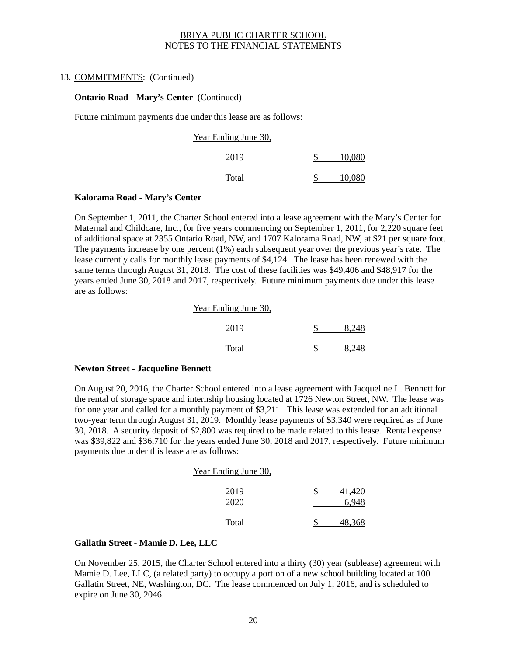### 13. COMMITMENTS: (Continued)

### **Ontario Road - Mary's Center** (Continued)

Future minimum payments due under this lease are as follows:

| Year Ending June 30, |        |
|----------------------|--------|
| 2019                 | 10,080 |
| Total                |        |

#### **Kalorama Road - Mary's Center**

On September 1, 2011, the Charter School entered into a lease agreement with the Mary's Center for Maternal and Childcare, Inc., for five years commencing on September 1, 2011, for 2,220 square feet of additional space at 2355 Ontario Road, NW, and 1707 Kalorama Road, NW, at \$21 per square foot. The payments increase by one percent (1%) each subsequent year over the previous year's rate. The lease currently calls for monthly lease payments of \$4,124. The lease has been renewed with the same terms through August 31, 2018. The cost of these facilities was \$49,406 and \$48,917 for the years ended June 30, 2018 and 2017, respectively. Future minimum payments due under this lease are as follows:

| <u>Year Ending June 30,</u> |       |
|-----------------------------|-------|
| 2019                        | 8 248 |
| Total                       |       |

### **Newton Street - Jacqueline Bennett**

On August 20, 2016, the Charter School entered into a lease agreement with Jacqueline L. Bennett for the rental of storage space and internship housing located at 1726 Newton Street, NW. The lease was for one year and called for a monthly payment of \$3,211. This lease was extended for an additional two-year term through August 31, 2019. Monthly lease payments of \$3,340 were required as of June 30, 2018. A security deposit of \$2,800 was required to be made related to this lease. Rental expense was \$39,822 and \$36,710 for the years ended June 30, 2018 and 2017, respectively. Future minimum payments due under this lease are as follows:

| Year Ending June 30, |   |                 |
|----------------------|---|-----------------|
| 2019<br>2020         | S | 41,420<br>6.948 |
| Total                |   | 48.368          |

### **Gallatin Street - Mamie D. Lee, LLC**

On November 25, 2015, the Charter School entered into a thirty (30) year (sublease) agreement with Mamie D. Lee, LLC, (a related party) to occupy a portion of a new school building located at 100 Gallatin Street, NE, Washington, DC. The lease commenced on July 1, 2016, and is scheduled to expire on June 30, 2046.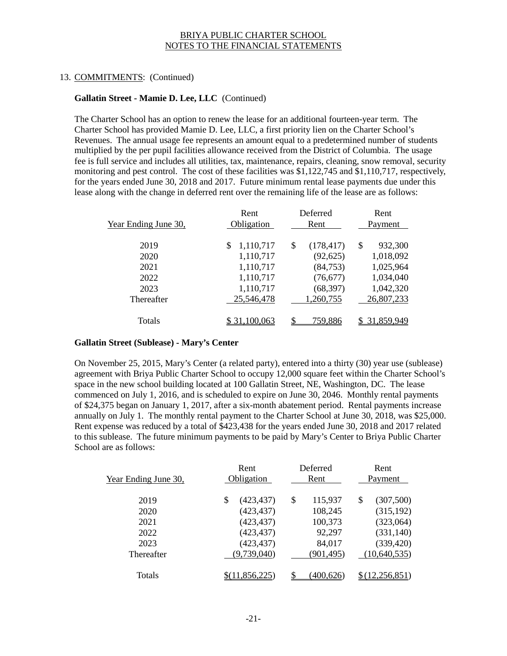### 13. COMMITMENTS: (Continued)

### **Gallatin Street - Mamie D. Lee, LLC** (Continued)

The Charter School has an option to renew the lease for an additional fourteen-year term. The Charter School has provided Mamie D. Lee, LLC, a first priority lien on the Charter School's Revenues. The annual usage fee represents an amount equal to a predetermined number of students multiplied by the per pupil facilities allowance received from the District of Columbia. The usage fee is full service and includes all utilities, tax, maintenance, repairs, cleaning, snow removal, security monitoring and pest control. The cost of these facilities was \$1,122,745 and \$1,110,717, respectively, for the years ended June 30, 2018 and 2017. Future minimum rental lease payments due under this lease along with the change in deferred rent over the remaining life of the lease are as follows:

|                      | Rent            | Deferred         | Rent          |
|----------------------|-----------------|------------------|---------------|
| Year Ending June 30, | Obligation      | Rent             | Payment       |
| 2019                 | 1,110,717<br>\$ | \$<br>(178, 417) | \$<br>932,300 |
| 2020                 | 1,110,717       | (92, 625)        | 1,018,092     |
| 2021                 | 1,110,717       | (84,753)         | 1,025,964     |
| 2022                 | 1,110,717       | (76, 677)        | 1,034,040     |
| 2023                 | 1,110,717       | (68, 397)        | 1,042,320     |
| Thereafter           | 25,546,478      | 1,260,755        | 26,807,233    |
| Totals               | 00.063          | <u>759,886</u>   | 31,859,949    |

### **Gallatin Street (Sublease) - Mary's Center**

On November 25, 2015, Mary's Center (a related party), entered into a thirty (30) year use (sublease) agreement with Briya Public Charter School to occupy 12,000 square feet within the Charter School's space in the new school building located at 100 Gallatin Street, NE, Washington, DC. The lease commenced on July 1, 2016, and is scheduled to expire on June 30, 2046. Monthly rental payments of \$24,375 began on January 1, 2017, after a six-month abatement period. Rental payments increase annually on July 1. The monthly rental payment to the Charter School at June 30, 2018, was \$25,000. Rent expense was reduced by a total of \$423,438 for the years ended June 30, 2018 and 2017 related to this sublease. The future minimum payments to be paid by Mary's Center to Briya Public Charter School are as follows:

|                      | Rent             | Deferred      | Rent            |  |  |
|----------------------|------------------|---------------|-----------------|--|--|
| Year Ending June 30, | Obligation       | Rent          | Payment         |  |  |
| 2019                 | (423, 437)<br>\$ | \$<br>115,937 | (307,500)<br>\$ |  |  |
| 2020                 | (423, 437)       | 108,245       | (315, 192)      |  |  |
| 2021                 | (423, 437)       | 100,373       | (323,064)       |  |  |
| 2022                 | (423, 437)       | 92,297        | (331, 140)      |  |  |
| 2023                 | (423, 437)       | 84,017        | (339, 420)      |  |  |
| Thereafter           | (9,739,040)      | (901, 495)    | (10,640,535)    |  |  |
| Totals               | 11,856,225       | (400, 626)    | (12, 256, 851)  |  |  |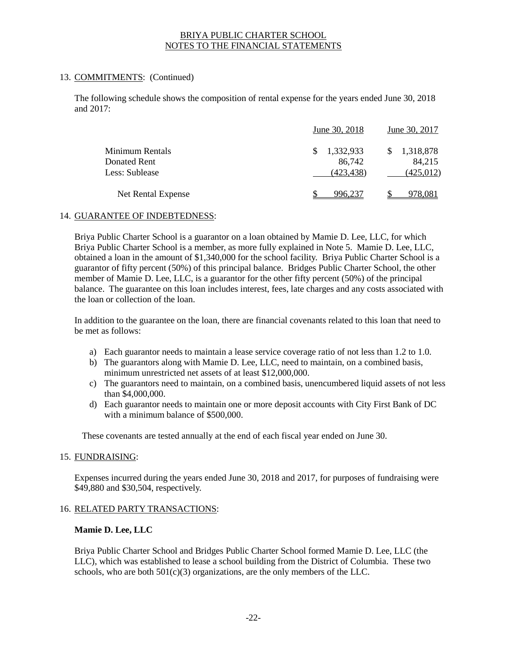### 13. COMMITMENTS: (Continued)

The following schedule shows the composition of rental expense for the years ended June 30, 2018 and 2017:

|                                                   | June 30, 2018 |                                   |  | June 30, 2017                    |  |  |
|---------------------------------------------------|---------------|-----------------------------------|--|----------------------------------|--|--|
| Minimum Rentals<br>Donated Rent<br>Less: Sublease | S             | 1,332,933<br>86,742<br>(423, 438) |  | 1,318,878<br>84,215<br>(425,012) |  |  |
| Net Rental Expense                                |               | 996.237                           |  | 78.081                           |  |  |

### 14. GUARANTEE OF INDEBTEDNESS:

Briya Public Charter School is a guarantor on a loan obtained by Mamie D. Lee, LLC, for which Briya Public Charter School is a member, as more fully explained in Note 5. Mamie D. Lee, LLC, obtained a loan in the amount of \$1,340,000 for the school facility. Briya Public Charter School is a guarantor of fifty percent (50%) of this principal balance. Bridges Public Charter School, the other member of Mamie D. Lee, LLC, is a guarantor for the other fifty percent (50%) of the principal balance. The guarantee on this loan includes interest, fees, late charges and any costs associated with the loan or collection of the loan.

In addition to the guarantee on the loan, there are financial covenants related to this loan that need to be met as follows:

- a) Each guarantor needs to maintain a lease service coverage ratio of not less than 1.2 to 1.0.
- b) The guarantors along with Mamie D. Lee, LLC, need to maintain, on a combined basis, minimum unrestricted net assets of at least \$12,000,000.
- c) The guarantors need to maintain, on a combined basis, unencumbered liquid assets of not less than \$4,000,000.
- d) Each guarantor needs to maintain one or more deposit accounts with City First Bank of DC with a minimum balance of \$500,000.

These covenants are tested annually at the end of each fiscal year ended on June 30.

### 15. FUNDRAISING:

Expenses incurred during the years ended June 30, 2018 and 2017, for purposes of fundraising were \$49,880 and \$30,504, respectively.

#### 16. RELATED PARTY TRANSACTIONS:

#### **Mamie D. Lee, LLC**

Briya Public Charter School and Bridges Public Charter School formed Mamie D. Lee, LLC (the LLC), which was established to lease a school building from the District of Columbia. These two schools, who are both  $501(c)(3)$  organizations, are the only members of the LLC.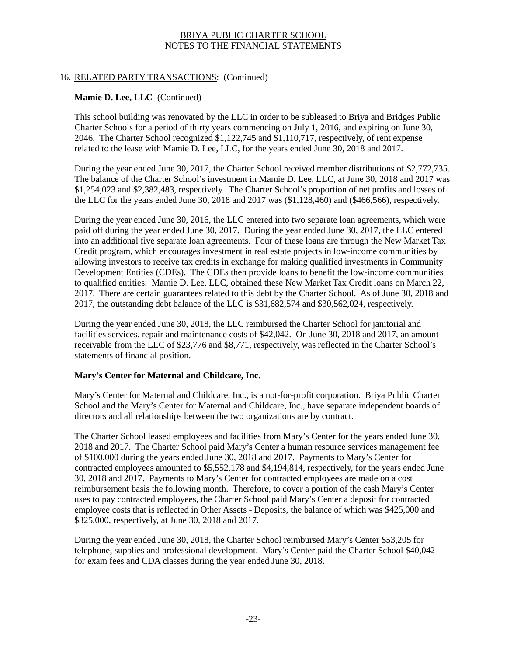# 16. RELATED PARTY TRANSACTIONS: (Continued)

# **Mamie D. Lee, LLC** (Continued)

This school building was renovated by the LLC in order to be subleased to Briya and Bridges Public Charter Schools for a period of thirty years commencing on July 1, 2016, and expiring on June 30, 2046. The Charter School recognized \$1,122,745 and \$1,110,717, respectively, of rent expense related to the lease with Mamie D. Lee, LLC, for the years ended June 30, 2018 and 2017.

During the year ended June 30, 2017, the Charter School received member distributions of \$2,772,735. The balance of the Charter School's investment in Mamie D. Lee, LLC, at June 30, 2018 and 2017 was \$1,254,023 and \$2,382,483, respectively. The Charter School's proportion of net profits and losses of the LLC for the years ended June 30, 2018 and 2017 was (\$1,128,460) and (\$466,566), respectively.

During the year ended June 30, 2016, the LLC entered into two separate loan agreements, which were paid off during the year ended June 30, 2017. During the year ended June 30, 2017, the LLC entered into an additional five separate loan agreements. Four of these loans are through the New Market Tax Credit program, which encourages investment in real estate projects in low-income communities by allowing investors to receive tax credits in exchange for making qualified investments in Community Development Entities (CDEs). The CDEs then provide loans to benefit the low-income communities to qualified entities. Mamie D. Lee, LLC, obtained these New Market Tax Credit loans on March 22, 2017. There are certain guarantees related to this debt by the Charter School. As of June 30, 2018 and 2017, the outstanding debt balance of the LLC is \$31,682,574 and \$30,562,024, respectively.

During the year ended June 30, 2018, the LLC reimbursed the Charter School for janitorial and facilities services, repair and maintenance costs of \$42,042. On June 30, 2018 and 2017, an amount receivable from the LLC of \$23,776 and \$8,771, respectively, was reflected in the Charter School's statements of financial position.

# **Mary's Center for Maternal and Childcare, Inc.**

Mary's Center for Maternal and Childcare, Inc., is a not-for-profit corporation. Briya Public Charter School and the Mary's Center for Maternal and Childcare, Inc., have separate independent boards of directors and all relationships between the two organizations are by contract.

The Charter School leased employees and facilities from Mary's Center for the years ended June 30, 2018 and 2017. The Charter School paid Mary's Center a human resource services management fee of \$100,000 during the years ended June 30, 2018 and 2017. Payments to Mary's Center for contracted employees amounted to \$5,552,178 and \$4,194,814, respectively, for the years ended June 30, 2018 and 2017. Payments to Mary's Center for contracted employees are made on a cost reimbursement basis the following month. Therefore, to cover a portion of the cash Mary's Center uses to pay contracted employees, the Charter School paid Mary's Center a deposit for contracted employee costs that is reflected in Other Assets - Deposits, the balance of which was \$425,000 and \$325,000, respectively, at June 30, 2018 and 2017.

During the year ended June 30, 2018, the Charter School reimbursed Mary's Center \$53,205 for telephone, supplies and professional development. Mary's Center paid the Charter School \$40,042 for exam fees and CDA classes during the year ended June 30, 2018.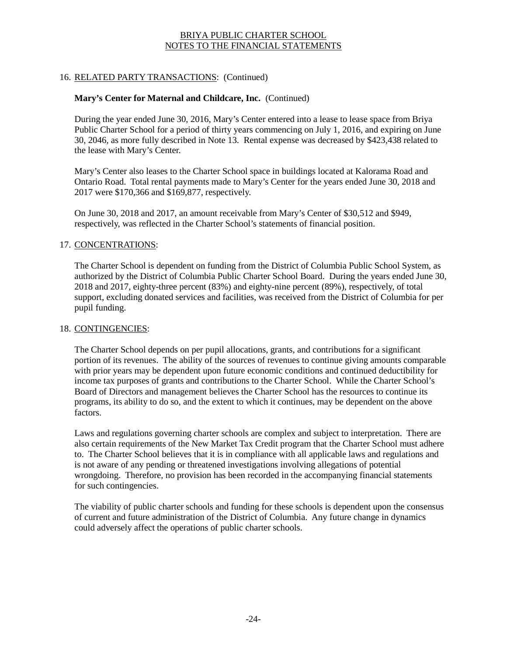# 16. RELATED PARTY TRANSACTIONS: (Continued)

### **Mary's Center for Maternal and Childcare, Inc.** (Continued)

During the year ended June 30, 2016, Mary's Center entered into a lease to lease space from Briya Public Charter School for a period of thirty years commencing on July 1, 2016, and expiring on June 30, 2046, as more fully described in Note 13. Rental expense was decreased by \$423,438 related to the lease with Mary's Center.

Mary's Center also leases to the Charter School space in buildings located at Kalorama Road and Ontario Road. Total rental payments made to Mary's Center for the years ended June 30, 2018 and 2017 were \$170,366 and \$169,877, respectively.

On June 30, 2018 and 2017, an amount receivable from Mary's Center of \$30,512 and \$949, respectively, was reflected in the Charter School's statements of financial position.

### 17. CONCENTRATIONS:

The Charter School is dependent on funding from the District of Columbia Public School System, as authorized by the District of Columbia Public Charter School Board. During the years ended June 30, 2018 and 2017, eighty-three percent (83%) and eighty-nine percent (89%), respectively, of total support, excluding donated services and facilities, was received from the District of Columbia for per pupil funding.

#### 18. CONTINGENCIES:

The Charter School depends on per pupil allocations, grants, and contributions for a significant portion of its revenues. The ability of the sources of revenues to continue giving amounts comparable with prior years may be dependent upon future economic conditions and continued deductibility for income tax purposes of grants and contributions to the Charter School. While the Charter School's Board of Directors and management believes the Charter School has the resources to continue its programs, its ability to do so, and the extent to which it continues, may be dependent on the above factors.

Laws and regulations governing charter schools are complex and subject to interpretation. There are also certain requirements of the New Market Tax Credit program that the Charter School must adhere to. The Charter School believes that it is in compliance with all applicable laws and regulations and is not aware of any pending or threatened investigations involving allegations of potential wrongdoing. Therefore, no provision has been recorded in the accompanying financial statements for such contingencies.

The viability of public charter schools and funding for these schools is dependent upon the consensus of current and future administration of the District of Columbia. Any future change in dynamics could adversely affect the operations of public charter schools.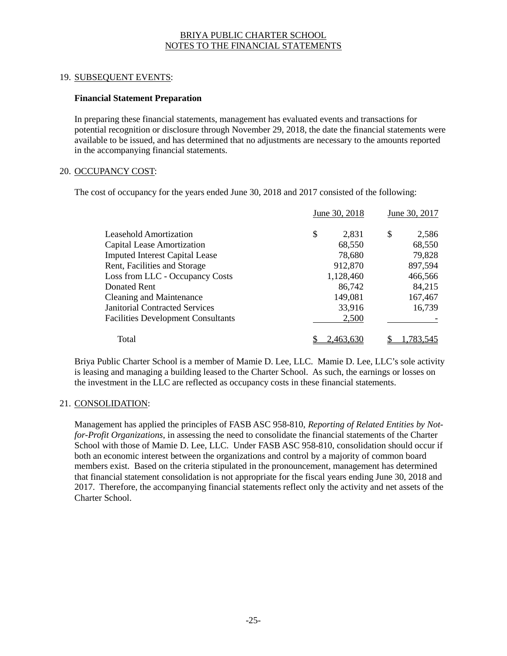### 19. SUBSEQUENT EVENTS:

### **Financial Statement Preparation**

In preparing these financial statements, management has evaluated events and transactions for potential recognition or disclosure through November 29, 2018, the date the financial statements were available to be issued, and has determined that no adjustments are necessary to the amounts reported in the accompanying financial statements.

### 20. OCCUPANCY COST:

The cost of occupancy for the years ended June 30, 2018 and 2017 consisted of the following:

|                                           | June 30, 2018 | June 30, 2017 |  |
|-------------------------------------------|---------------|---------------|--|
| <b>Leasehold Amortization</b>             | \$<br>2,831   | S<br>2,586    |  |
| Capital Lease Amortization                | 68,550        | 68,550        |  |
| <b>Imputed Interest Capital Lease</b>     | 78,680        | 79,828        |  |
| Rent, Facilities and Storage              | 912,870       | 897,594       |  |
| Loss from LLC - Occupancy Costs           | 1,128,460     | 466,566       |  |
| Donated Rent                              | 86,742        | 84,215        |  |
| <b>Cleaning and Maintenance</b>           | 149,081       | 167,467       |  |
| <b>Janitorial Contracted Services</b>     | 33,916        | 16,739        |  |
| <b>Facilities Development Consultants</b> | 2,500         |               |  |
| Total                                     | 2.463.630     | 1,783,545     |  |

Briya Public Charter School is a member of Mamie D. Lee, LLC. Mamie D. Lee, LLC's sole activity is leasing and managing a building leased to the Charter School. As such, the earnings or losses on the investment in the LLC are reflected as occupancy costs in these financial statements.

# 21. CONSOLIDATION:

Management has applied the principles of FASB ASC 958-810, *Reporting of Related Entities by Notfor-Profit Organizations*, in assessing the need to consolidate the financial statements of the Charter School with those of Mamie D. Lee, LLC. Under FASB ASC 958-810, consolidation should occur if both an economic interest between the organizations and control by a majority of common board members exist. Based on the criteria stipulated in the pronouncement, management has determined that financial statement consolidation is not appropriate for the fiscal years ending June 30, 2018 and 2017. Therefore, the accompanying financial statements reflect only the activity and net assets of the Charter School.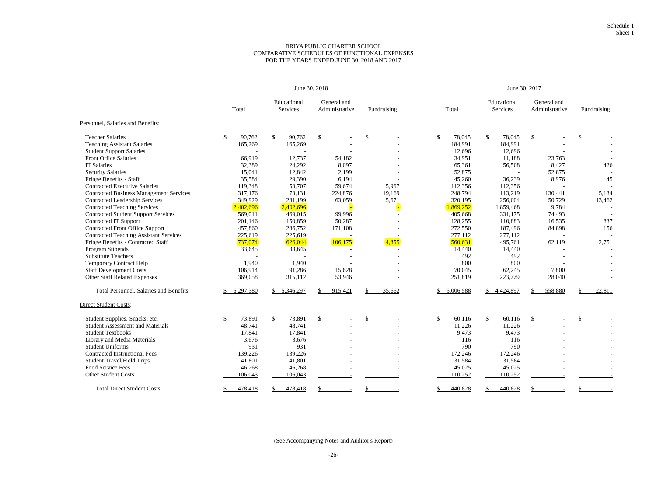#### BRIYA PUBLIC CHARTER SCHOOL COMPARATIVE SCHEDULES OF FUNCTIONAL EXPENSES FOR THE YEARS ENDED JUNE 30, 2018 AND 2017

|                                                | June 30, 2018          |                         |                               |               | June 30, 2017           |                         |                               |               |
|------------------------------------------------|------------------------|-------------------------|-------------------------------|---------------|-------------------------|-------------------------|-------------------------------|---------------|
|                                                | Total                  | Educational<br>Services | General and<br>Administrative | Fundraising   | Total                   | Educational<br>Services | General and<br>Administrative | Fundraising   |
| Personnel, Salaries and Benefits:              |                        |                         |                               |               |                         |                         |                               |               |
| <b>Teacher Salaries</b>                        | $\mathbb{S}$<br>90,762 | $\mathbb{S}$<br>90,762  | $\mathcal{S}$                 | $\mathcal{S}$ | $\mathcal{S}$<br>78,045 | \$<br>78,045            | $\mathcal{S}$                 | $\mathcal{S}$ |
| <b>Teaching Assistant Salaries</b>             | 165,269                | 165,269                 |                               |               | 184,991                 | 184,991                 |                               |               |
| <b>Student Support Salaries</b>                |                        |                         |                               |               | 12,696                  | 12,696                  |                               |               |
| <b>Front Office Salaries</b>                   | 66,919                 | 12,737                  | 54,182                        |               | 34,951                  | 11,188                  | 23,763                        |               |
| <b>IT Salaries</b>                             | 32,389                 | 24,292                  | 8,097                         |               | 65,361                  | 56,508                  | 8,427                         | 426           |
| <b>Security Salaries</b>                       | 15,041                 | 12,842                  | 2,199                         |               | 52,875                  |                         | 52,875                        |               |
| Fringe Benefits - Staff                        | 35,584                 | 29,390                  | 6,194                         |               | 45,260                  | 36,239                  | 8,976                         | 45            |
| <b>Contracted Executive Salaries</b>           | 119,348                | 53,707                  | 59,674                        | 5,967         | 112,356                 | 112,356                 |                               |               |
| <b>Contracted Business Management Services</b> | 317,176                | 73,131                  | 224,876                       | 19,169        | 248,794                 | 113,219                 | 130,441                       | 5,134         |
| <b>Contracted Leadership Services</b>          | 349,929                | 281,199                 | 63,059                        | 5,671         | 320,195                 | 256,004                 | 50,729                        | 13,462        |
| <b>Contracted Teaching Services</b>            | 2,402,696              | 2,402,696               |                               |               | 1,869,252               | 1,859,468               | 9,784                         |               |
| <b>Contracted Student Support Services</b>     | 569,011                | 469,015                 | 99,996                        |               | 405,668                 | 331,175                 | 74,493                        |               |
| <b>Contracted IT Support</b>                   | 201,146                | 150,859                 | 50,287                        |               | 128,255                 | 110,883                 | 16,535                        | 837           |
| <b>Contracted Front Office Support</b>         | 457,860                | 286,752                 | 171,108                       |               | 272,550                 | 187,496                 | 84,898                        | 156           |
| <b>Contracted Teaching Assistant Services</b>  | 225,619                | 225,619                 |                               |               | 277,112                 | 277,112                 |                               |               |
| Fringe Benefits - Contracted Staff             | 737,074                | 626,044                 | 106,175                       | 4,855         | 560,631                 | 495,761                 | 62,119                        | 2,751         |
| Program Stipends                               | 33,645                 | 33,645                  |                               |               | 14,440                  | 14,440                  |                               |               |
| <b>Substitute Teachers</b>                     |                        |                         |                               |               | 492                     | 492                     |                               |               |
| <b>Temporary Contract Help</b>                 | 1,940                  | 1,940                   |                               |               | 800                     | 800                     |                               |               |
| <b>Staff Development Costs</b>                 | 106,914                | 91,286                  | 15,628                        |               | 70,045                  | 62,245                  | 7,800                         |               |
| Other Staff Related Expenses                   | 369,058                | 315,112                 | 53,946                        |               | 251,819                 | 223,779                 | 28,040                        |               |
| Total Personnel, Salaries and Benefits         | 6,297,380              | \$5,346,297             | 915,421                       | 35,662        | 5,006,588               | \$4,424,897             | 558,880                       | 22,811        |
| <b>Direct Student Costs:</b>                   |                        |                         |                               |               |                         |                         |                               |               |
| Student Supplies, Snacks, etc.                 | $\mathbb{S}$<br>73,891 | $\mathbb{S}$<br>73,891  | $\mathcal{S}$                 | $\mathcal{S}$ | \$<br>60,116            | \$<br>60,116            | $\mathbb{S}$                  | \$            |
| <b>Student Assessment and Materials</b>        | 48,741                 | 48,741                  |                               |               | 11,226                  | 11,226                  |                               |               |
| <b>Student Textbooks</b>                       | 17,841                 | 17,841                  |                               |               | 9,473                   | 9,473                   |                               |               |
| Library and Media Materials                    | 3,676                  | 3,676                   |                               |               | 116                     | 116                     |                               |               |
| <b>Student Uniforms</b>                        | 931                    | 931                     |                               |               | 790                     | 790                     |                               |               |
| <b>Contracted Instructional Fees</b>           | 139,226                | 139,226                 |                               |               | 172,246                 | 172,246                 |                               |               |
| <b>Student Travel/Field Trips</b>              | 41,801                 | 41,801                  |                               |               | 31,584                  | 31,584                  |                               |               |
| Food Service Fees                              | 46,268                 | 46,268                  |                               |               | 45,025                  | 45,025                  |                               |               |
| <b>Other Student Costs</b>                     | 106,043                | 106,043                 |                               |               | 110,252                 | 110,252                 |                               |               |
| <b>Total Direct Student Costs</b>              | 478,418                | 478,418                 |                               |               | 440,828                 | 440,828                 |                               |               |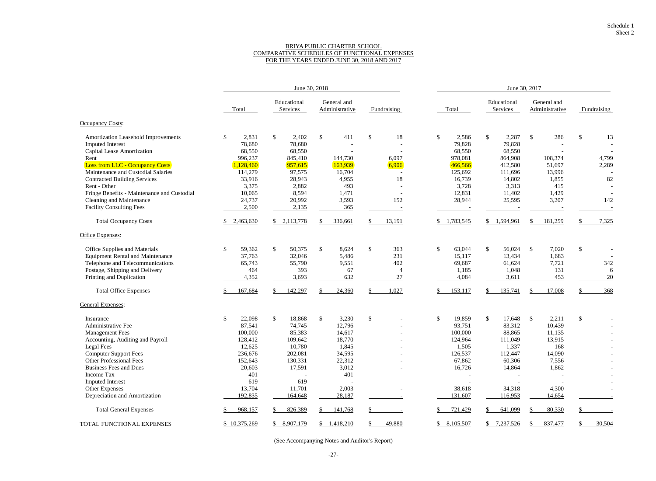#### BRIYA PUBLIC CHARTER SCHOOL COMPARATIVE SCHEDULES OF FUNCTIONAL EXPENSES FOR THE YEARS ENDED JUNE 30, 2018 AND 2017

|                                             | June 30, 2018           |                         |                                  |                      | June 30, 2017          |                         |                               |             |
|---------------------------------------------|-------------------------|-------------------------|----------------------------------|----------------------|------------------------|-------------------------|-------------------------------|-------------|
|                                             | Total                   | Educational<br>Services | General and<br>Administrative    | Fundraising          | Total                  | Educational<br>Services | General and<br>Administrative | Fundraising |
| <b>Occupancy Costs:</b>                     |                         |                         |                                  |                      |                        |                         |                               |             |
| Amortization Leasehold Improvements         | $\mathcal{L}$<br>2,831  | \$<br>2,402             | 411<br>\$                        | $\mathcal{S}$<br>18  | $\mathcal{S}$<br>2,586 | \$<br>2,287             | \$<br>286                     | \$<br>13    |
| <b>Imputed Interest</b>                     | 78,680                  | 78,680                  |                                  |                      | 79,828                 | 79,828                  |                               |             |
| Capital Lease Amortization                  | 68,550                  | 68,550                  |                                  |                      | 68,550                 | 68,550                  |                               |             |
| Rent                                        | 996,237                 | 845,410                 | 144,730                          | 6,097                | 978,081                | 864,908                 | 108,374                       | 4,799       |
| <b>Loss from LLC - Occupancy Costs</b>      | 1,128,460               | 957,615                 | 163,939                          | 6,906                | 466,566                | 412,580                 | 51,697                        | 2,289       |
| Maintenance and Custodial Salaries          | 114,279                 | 97,575                  | 16,704                           |                      | 125,692                | 111,696                 | 13,996                        |             |
| <b>Contracted Building Services</b>         | 33,916                  | 28,943                  | 4,955                            | 18                   | 16,739                 | 14,802                  | 1,855                         | 82          |
| Rent - Other                                | 3,375                   | 2,882                   | 493                              |                      | 3,728                  | 3,313                   | 415                           |             |
| Fringe Benefits - Maintenance and Custodial | 10,065                  | 8,594                   | 1,471                            |                      | 12,831                 | 11,402                  | 1,429                         |             |
| Cleaning and Maintenance                    | 24,737                  | 20,992                  | 3,593                            | 152                  | 28,944                 | 25,595                  | 3,207                         | 142         |
| <b>Facility Consulting Fees</b>             | 2,500                   | 2,135                   | 365                              |                      |                        |                         |                               |             |
| <b>Total Occupancy Costs</b>                | 2,463,630               | \$2,113,778             | 336,661                          | 13,191               | 1,783,545              | \$1,594,961             | 181,259                       | 7,325       |
| Office Expenses:                            |                         |                         |                                  |                      |                        |                         |                               |             |
| <b>Office Supplies and Materials</b>        | \$<br>59,362            | \$<br>50,375            | $\sqrt[6]{\frac{1}{2}}$<br>8,624 | $\mathcal{S}$<br>363 | $\sqrt$<br>63,044      | \$<br>56,024            | $\mathcal{S}$<br>7,020        | \$          |
| <b>Equipment Rental and Maintenance</b>     | 37,763                  | 32,046                  | 5,486                            | 231                  | 15,117                 | 13,434                  | 1,683                         |             |
| Telephone and Telecommunications            | 65,743                  | 55,790                  | 9,551                            | 402                  | 69,687                 | 61,624                  | 7,721                         | 342         |
| Postage, Shipping and Delivery              | 464                     | 393                     | 67                               | $\overline{4}$       | 1,185                  | 1,048                   | 131                           | 6           |
| Printing and Duplication                    | 4,352                   | 3,693                   | 632                              | 27                   | 4,084                  | 3,611                   | 453                           | 20          |
| <b>Total Office Expenses</b>                | 167,684                 | 142,297                 | 24,360                           | 1,027<br>\$.         | 153,117                | 135,741<br>S.           | 17,008<br>\$                  | 368         |
| <b>General Expenses:</b>                    |                         |                         |                                  |                      |                        |                         |                               |             |
| Insurance                                   | $\mathcal{S}$<br>22,098 | \$<br>18,868            | $\frac{1}{2}$<br>3,230           | $\mathcal{S}$        | \$<br>19,859           | \$<br>17,648            | $\mathcal{S}$<br>2,211        | \$          |
| Administrative Fee                          | 87,541                  | 74,745                  | 12,796                           |                      | 93,751                 | 83,312                  | 10,439                        |             |
| <b>Management Fees</b>                      | 100,000                 | 85,383                  | 14,617                           |                      | 100,000                | 88,865                  | 11,135                        |             |
| Accounting, Auditing and Payroll            | 128,412                 | 109,642                 | 18,770                           |                      | 124,964                | 111,049                 | 13,915                        |             |
| Legal Fees                                  | 12,625                  | 10,780                  | 1,845                            |                      | 1,505                  | 1,337                   | 168                           |             |
| <b>Computer Support Fees</b>                | 236,676                 | 202,081                 | 34,595                           |                      | 126,537                | 112,447                 | 14,090                        |             |
| <b>Other Professional Fees</b>              | 152,643                 | 130,331                 | 22,312                           |                      | 67,862                 | 60,306                  | 7,556                         |             |
| <b>Business Fees and Dues</b>               | 20,603                  | 17,591                  | 3,012                            |                      | 16,726                 | 14,864                  | 1,862                         |             |
| Income Tax                                  | 401                     |                         | 401                              |                      |                        |                         |                               |             |
| <b>Imputed Interest</b>                     | 619                     | 619                     |                                  |                      |                        |                         |                               |             |
| Other Expenses                              | 13,704                  | 11,701                  | 2,003                            |                      | 38,618                 | 34,318                  | 4,300                         |             |
| Depreciation and Amortization               | 192,835                 | 164,648                 | 28,187                           |                      | 131,607                | 116,953                 | 14,654                        |             |
| <b>Total General Expenses</b>               | 968,157                 | 826,389                 | 141,768                          |                      | 721,429                | 641,099                 | 80,330<br><sup>S</sup>        |             |
| TOTAL FUNCTIONAL EXPENSES                   | \$10,375,269            | \$8,907,179             | \$1,418,210                      | 49,880               | \$8,105,507            | \$7,237,526             | 837,477<br><sup>S</sup>       | 30,504      |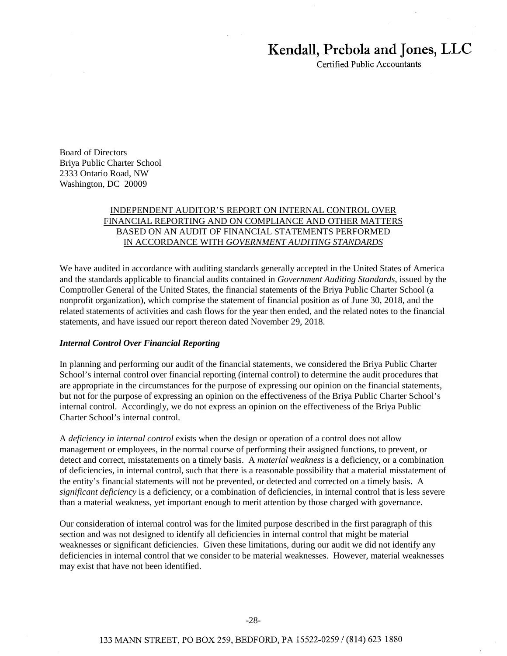# **Kendall, Prebola and Jones, LLC**

Certified Public Accountants

Board of Directors Briya Public Charter School 2333 Ontario Road, NW Washington, DC 20009

### INDEPENDENT AUDITOR'S REPORT ON INTERNAL CONTROL OVER FINANCIAL REPORTING AND ON COMPLIANCE AND OTHER MATTERS BASED ON AN AUDIT OF FINANCIAL STATEMENTS PERFORMED IN ACCORDANCE WITH *GOVERNMENT AUDITING STANDARDS*

We have audited in accordance with auditing standards generally accepted in the United States of America and the standards applicable to financial audits contained in *Government Auditing Standards*, issued by the Comptroller General of the United States, the financial statements of the Briya Public Charter School (a nonprofit organization), which comprise the statement of financial position as of June 30, 2018, and the related statements of activities and cash flows for the year then ended, and the related notes to the financial statements, and have issued our report thereon dated November 29, 2018.

### *Internal Control Over Financial Reporting*

In planning and performing our audit of the financial statements, we considered the Briya Public Charter School's internal control over financial reporting (internal control) to determine the audit procedures that are appropriate in the circumstances for the purpose of expressing our opinion on the financial statements, but not for the purpose of expressing an opinion on the effectiveness of the Briya Public Charter School's internal control. Accordingly, we do not express an opinion on the effectiveness of the Briya Public Charter School's internal control.

A *deficiency in internal control* exists when the design or operation of a control does not allow management or employees, in the normal course of performing their assigned functions, to prevent, or detect and correct, misstatements on a timely basis. A *material weakness* is a deficiency, or a combination of deficiencies, in internal control, such that there is a reasonable possibility that a material misstatement of the entity's financial statements will not be prevented, or detected and corrected on a timely basis. A *significant deficiency* is a deficiency, or a combination of deficiencies, in internal control that is less severe than a material weakness, yet important enough to merit attention by those charged with governance.

Our consideration of internal control was for the limited purpose described in the first paragraph of this section and was not designed to identify all deficiencies in internal control that might be material weaknesses or significant deficiencies. Given these limitations, during our audit we did not identify any deficiencies in internal control that we consider to be material weaknesses. However, material weaknesses may exist that have not been identified.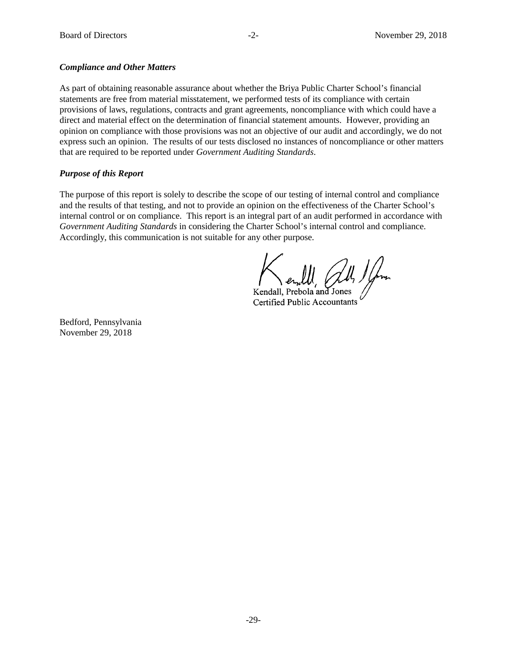### *Compliance and Other Matters*

As part of obtaining reasonable assurance about whether the Briya Public Charter School's financial statements are free from material misstatement, we performed tests of its compliance with certain provisions of laws, regulations, contracts and grant agreements, noncompliance with which could have a direct and material effect on the determination of financial statement amounts. However, providing an opinion on compliance with those provisions was not an objective of our audit and accordingly, we do not express such an opinion. The results of our tests disclosed no instances of noncompliance or other matters that are required to be reported under *Government Auditing Standards*.

### *Purpose of this Report*

The purpose of this report is solely to describe the scope of our testing of internal control and compliance and the results of that testing, and not to provide an opinion on the effectiveness of the Charter School's internal control or on compliance. This report is an integral part of an audit performed in accordance with *Government Auditing Standards* in considering the Charter School's internal control and compliance. Accordingly, this communication is not suitable for any other purpose.

Kendall, Prebola and Jones Kendall, Prebola and Jones Certified Public Accountants Certified Public Accountants

Bedford, Pennsylvania November 29, 2018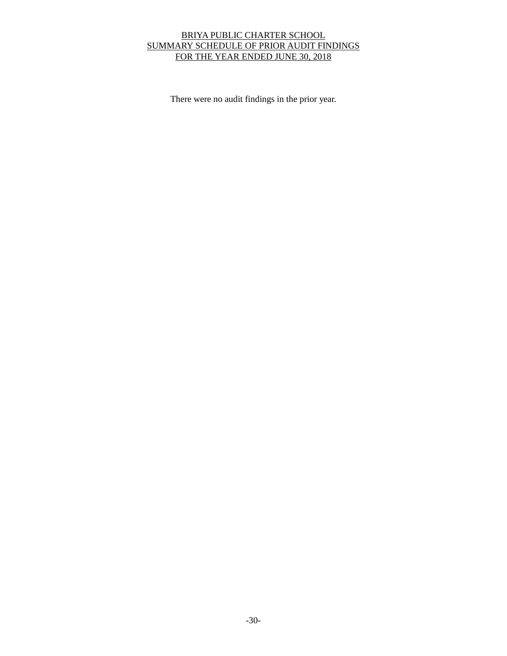# BRIYA PUBLIC CHARTER SCHOOL SUMMARY SCHEDULE OF PRIOR AUDIT FINDINGS FOR THE YEAR ENDED JUNE 30, 2018

There were no audit findings in the prior year.